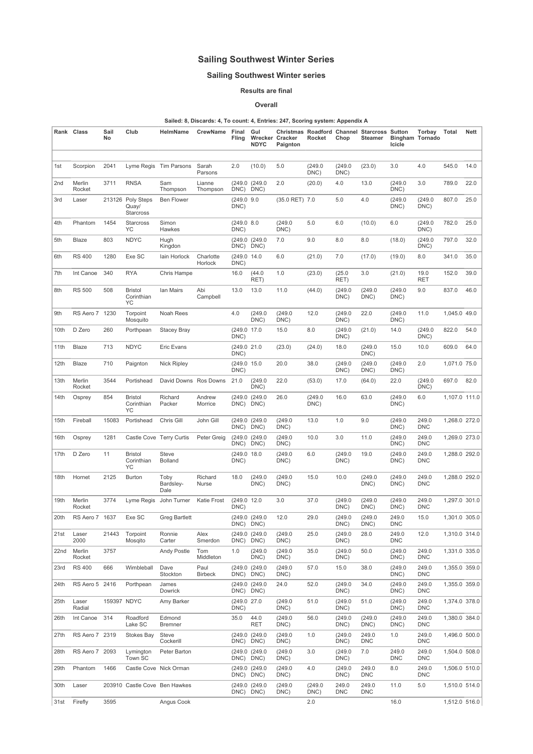## Sailing Southwest Winter Series

## Sailing Southwest Winter series

Results are final

## Overall

## Sailed: 8, Discards: 4, To count: 4, Entries: 247, Scoring system: Appendix A

|      | Rank Class       | Sail<br>No  | Club                                           | HelmName                       | <b>CrewName</b>        | Final<br>Fling       | Gul<br><b>NDYC</b>    | Wrecker Cracker<br>Paignton | Rocket          | Chop                | Christmas Roadford Channel Starcross Sutton<br><b>Steamer</b> | <b>Bingham Tornado</b><br>Icicle | Torbay              | Total         | Nett |
|------|------------------|-------------|------------------------------------------------|--------------------------------|------------------------|----------------------|-----------------------|-----------------------------|-----------------|---------------------|---------------------------------------------------------------|----------------------------------|---------------------|---------------|------|
| 1st  | Scorpion         | 2041        |                                                | Lyme Regis Tim Parsons         | Sarah<br>Parsons       | 2.0                  | (10.0)                | 5.0                         | (249.0<br>DNC)  | (249.0<br>DNC)      | (23.0)                                                        | 3.0                              | 4.0                 | 545.0         | 14.0 |
| 2nd  | Merlin<br>Rocket | 3711        | <b>RNSA</b>                                    | Sam<br>Thompson                | Lianne<br>Thompson     | DNC)                 | (249.0 (249.0<br>DNC) | 2.0                         | (20.0)          | 4.0                 | 13.0                                                          | (249.0<br>DNC)                   | 3.0                 | 789.0         | 22.0 |
| 3rd  | Laser            |             | 213126 Poly Steps<br>Quay/<br><b>Starcross</b> | <b>Ben Flower</b>              |                        | (249.0 9.0<br>DNC)   |                       | (35.0 RET) 7.0              |                 | 5.0                 | 4.0                                                           | (249.0<br>DNC)                   | (249.0<br>DNC)      | 807.0         | 25.0 |
| 4th  | Phantom          | 1454        | <b>Starcross</b><br>YC                         | Simon<br>Hawkes                |                        | (249.0 8.0<br>DNC)   |                       | (249.0)<br>DNC)             | 5.0             | 6.0                 | (10.0)                                                        | 6.0                              | (249.0<br>DNC)      | 782.0         | 25.0 |
| 5th  | Blaze            | 803         | <b>NDYC</b>                                    | Hugh<br>Kingdon                |                        | DNC)                 | (249.0 (249.0<br>DNC) | 7.0                         | 9.0             | 8.0                 | 8.0                                                           | (18.0)                           | (249.0<br>DNC)      | 797.0         | 32.0 |
| 6th  | <b>RS 400</b>    | 1280        | Exe SC                                         | lain Horlock                   | Charlotte<br>Horlock   | (249.0 14.0<br>DNC)  |                       | 6.0                         | (21.0)          | 7.0                 | (17.0)                                                        | (19.0)                           | 8.0                 | 341.0         | 35.0 |
| 7th  | Int Canoe        | 340         | <b>RYA</b>                                     | Chris Hampe                    |                        | 16.0                 | (44.0)<br>RET)        | 1.0                         | (23.0)          | (25.0)<br>RET)      | 3.0                                                           | (21.0)                           | 19.0<br><b>RET</b>  | 152.0         | 39.0 |
| 8th  | <b>RS 500</b>    | 508         | <b>Bristol</b><br>Corinthian<br>YC             | Ian Mairs                      | Abi<br>Campbell        | 13.0                 | 13.0                  | 11.0                        | (44.0)          | (249.0<br>DNC)      | (249.0<br>DNC)                                                | (249.0<br>DNC)                   | 9.0                 | 837.0         | 46.0 |
| 9th  | RS Aero 7 1230   |             | Torpoint<br>Mosquito                           | Noah Rees                      |                        | 4.0                  | (249.0)<br>DNC)       | (249.0)<br>DNC)             | 12.0            | (249.0<br>DNC)      | 22.0                                                          | (249.0<br>DNC)                   | 11.0                | 1,045.0 49.0  |      |
| 10th | D Zero           | 260         | Porthpean                                      | <b>Stacey Bray</b>             |                        | (249.0 17.0<br>DNC)  |                       | 15.0                        | 8.0             | (249.0<br>DNC)      | (21.0)                                                        | 14.0                             | (249.0<br>DNC)      | 822.0         | 54.0 |
| 11th | Blaze            | 713         | <b>NDYC</b>                                    | Eric Evans                     |                        | (249.0 21.0<br>DNC)  |                       | (23.0)                      | (24.0)          | 18.0                | (249.0<br>DNC)                                                | 15.0                             | 10.0                | 609.0         | 64.0 |
| 12th | Blaze            | 710         | Paignton                                       | <b>Nick Ripley</b>             |                        | (249.0 15.0<br>DNC)  |                       | 20.0                        | 38.0            | (249.0)<br>DNC)     | (249.0<br>DNC)                                                | (249.0<br>DNC)                   | 2.0                 | 1,071.0 75.0  |      |
| 13th | Merlin<br>Rocket | 3544        | Portishead                                     | David Downs Ros Downs          |                        | 21.0                 | (249.0<br>DNC)        | 22.0                        | (53.0)          | 17.0                | (64.0)                                                        | 22.0                             | (249.0<br>DNC)      | 697.0         | 82.0 |
| 14th | Osprey           | 854         | <b>Bristol</b><br>Corinthian<br>YC             | Richard<br>Packer              | Andrew<br>Morrice      | (249.0)<br>DNC) DNC) | (249.0)               | 26.0                        | (249.0)<br>DNC) | 16.0                | 63.0                                                          | (249.0<br>DNC)                   | 6.0                 | 1,107.0 111.0 |      |
| 15th | Fireball         | 15083       | Portishead                                     | Chris Gill                     | John Gill              | (249.0)<br>DNC)      | (249.0)<br>DNC)       | (249.0)<br>DNC)             | 13.0            | 1.0                 | 9.0                                                           | (249.0<br>DNC)                   | 249.0<br><b>DNC</b> | 1,268.0 272.0 |      |
| 16th | Osprey           | 1281        |                                                | Castle Cove Terry Curtis       | Peter Greig            | DNC)                 | (249.0 (249.0<br>DNC) | (249.0)<br>DNC)             | 10.0            | 3.0                 | 11.0                                                          | (249.0<br>DNC)                   | 249.0<br><b>DNC</b> | 1,269.0 273.0 |      |
| 17th | D Zero           | 11          | <b>Bristol</b><br>Corinthian<br>YC             | <b>Steve</b><br><b>Bolland</b> |                        | (249.0 18.0<br>DNC)  |                       | (249.0<br>DNC)              | 6.0             | (249.0<br>DNC)      | 19.0                                                          | (249.0<br>DNC)                   | 249.0<br><b>DNC</b> | 1,288.0 292.0 |      |
| 18th | Hornet           | 2125        | <b>Burton</b>                                  | Toby<br>Bardsley-<br>Dale      | Richard<br>Nurse       | 18.0                 | (249.0)<br>DNC)       | (249.0)<br>DNC)             | 15.0            | 10.0                | (249.0<br>DNC)                                                | (249.0<br>DNC)                   | 249.0<br><b>DNC</b> | 1,288.0 292.0 |      |
| 19th | Merlin<br>Rocket | 3774        |                                                | Lyme Regis John Turner         | Katie Frost            | (249.0 12.0<br>DNC)  |                       | 3.0                         | 37.0            | (249.0)<br>DNC)     | (249.0<br>DNC)                                                | (249.0<br>DNC)                   | 249.0<br>DNC        | 1,297.0 301.0 |      |
| 20th | RS Aero 7 1637   |             | Exe SC                                         | <b>Greg Bartlett</b>           |                        | DNC) DNC)            | (249.0 (249.0         | 12.0                        | 29.0            | (249.0<br>DNC)      | (249.0<br>DNC)                                                | 249.0<br><b>DNC</b>              | 15.0                | 1,301.0 305.0 |      |
| 21st | Laser<br>2000    | 21443       | Torpoint<br>Mosqito                            | Ronnie<br>Carter               | Alex<br>Smerdon        | DNC)                 | (249.0 (249.0<br>DNC) | (249.0)<br>DNC)             | 25.0            | (249.0)<br>DNC)     | 28.0                                                          | 249.0<br><b>DNC</b>              | 12.0                | 1,310.0 314.0 |      |
| 22nd | Merlin<br>Rocket | 3757        |                                                | <b>Andy Postle</b>             | Tom<br>Middleton       | 1.0                  | (249.0)<br>DNC)       | (249.0)<br>DNC)             | 35.0            | (249.0)<br>DNC)     | 50.0                                                          | (249.0)<br>DNC)                  | 249.0<br><b>DNC</b> | 1,331.0 335.0 |      |
| 23rd | <b>RS 400</b>    | 666         | Wimbleball                                     | Dave<br>Stockton               | Paul<br><b>Birbeck</b> | DNC) DNC)            | (249.0 (249.0         | (249.0)<br>DNC)             | 57.0            | 15.0                | 38.0                                                          | (249.0<br>DNC)                   | 249.0<br><b>DNC</b> | 1,355.0 359.0 |      |
| 24th | RS Aero 5 2416   |             | Porthpean                                      | James<br>Dowrick               |                        | DNC) DNC)            | (249.0 (249.0         | 24.0                        | 52.0            | (249.0)<br>DNC)     | 34.0                                                          | (249.0)<br>DNC)                  | 249.0<br><b>DNC</b> | 1,355.0 359.0 |      |
| 25th | Laser<br>Radial  | 159397 NDYC |                                                | Amy Barker                     |                        | (249.0 27.0<br>DNC)  |                       | (249.0)<br>DNC)             | 51.0            | (249.0)<br>DNC)     | 51.0                                                          | (249.0<br>DNC)                   | 249.0<br><b>DNC</b> | 1,374.0 378.0 |      |
| 26th | Int Canoe        | 314         | Roadford<br>Lake SC                            | Edmond<br><b>Bremner</b>       |                        | 35.0                 | 44.0<br>RET           | (249.0)<br>DNC)             | 56.0            | (249.0<br>DNC)      | (249.0)<br>DNC)                                               | (249.0<br>DNC)                   | 249.0<br><b>DNC</b> | 1,380.0 384.0 |      |
| 27th | RS Aero 7 2319   |             | <b>Stokes Bay</b>                              | Steve<br>Cockerill             |                        | DNC) DNC)            | (249.0 (249.0         | (249.0)<br>DNC)             | 1.0             | (249.0)<br>DNC)     | 249.0<br><b>DNC</b>                                           | 1.0                              | 249.0<br><b>DNC</b> | 1,496.0 500.0 |      |
| 28th | RS Aero 7 2093   |             | Lymington<br>Town SC                           | Peter Barton                   |                        | DNC) DNC)            | (249.0 (249.0         | (249.0<br>DNC)              | 3.0             | (249.0)<br>DNC)     | 7.0                                                           | 249.0<br><b>DNC</b>              | 249.0<br><b>DNC</b> | 1,504.0 508.0 |      |
| 29th | Phantom          | 1466        |                                                | Castle Cove Nick Orman         |                        | DNC) DNC)            | (249.0 (249.0         | (249.0)<br>DNC)             | 4.0             | (249.0)<br>DNC)     | 249.0<br><b>DNC</b>                                           | 8.0                              | 249.0<br><b>DNC</b> | 1,506.0 510.0 |      |
| 30th | Laser            |             | 203910 Castle Cove Ben Hawkes                  |                                |                        | DNC) DNC)            | (249.0 (249.0         | (249.0)<br>DNC)             | (249.0)<br>DNC) | 249.0<br><b>DNC</b> | 249.0<br><b>DNC</b>                                           | 11.0                             | 5.0                 | 1,510.0 514.0 |      |
| 31st | Firefly          | 3595        |                                                | Angus Cook                     |                        |                      |                       |                             | 2.0             |                     |                                                               | 16.0                             |                     | 1,512.0 516.0 |      |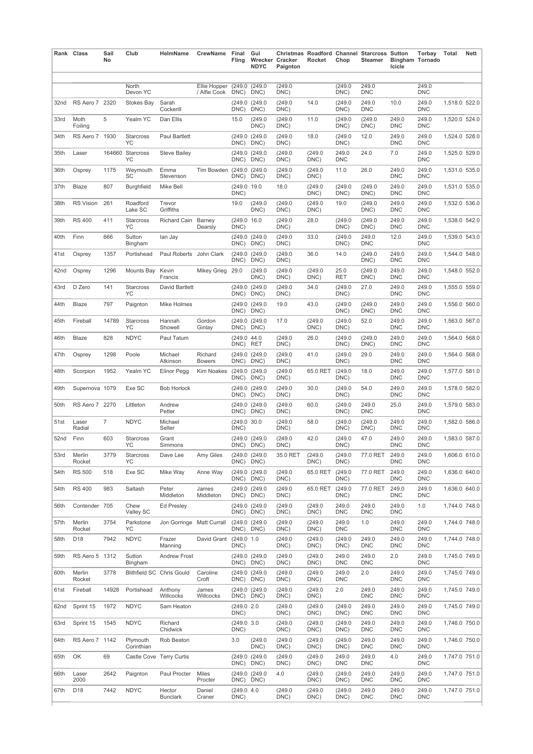|      | Rank Class       | Sail<br>No     | Club                          | HelmName                         | CrewName Final                                        | Fling                      | Gul<br><b>NDYC</b>         | Wrecker Cracker<br>Paignton | Rocket          | Chop                | Christmas Roadford Channel Starcross Sutton<br>Steamer | Icicle              | Torbay<br><b>Bingham Tornado</b> | Total         | <b>Nett</b> |
|------|------------------|----------------|-------------------------------|----------------------------------|-------------------------------------------------------|----------------------------|----------------------------|-----------------------------|-----------------|---------------------|--------------------------------------------------------|---------------------|----------------------------------|---------------|-------------|
|      |                  |                | North<br>Devon YC             |                                  | Ellie Hopper (249.0 (249.0)<br>/ Alfie Cook DNC) DNC) |                            |                            | (249.0)<br>DNC)             |                 | (249.0)<br>DNC)     | 249.0<br><b>DNC</b>                                    |                     | 249.0<br><b>DNC</b>              |               |             |
| 32nd | RS Aero 7 2320   |                | Stokes Bay                    | Sarah<br>Cockerill               |                                                       |                            | (249.0 (249.0<br>DNC) DNC) | (249.0<br>DNC)              | 14.0            | (249.0<br>DNC)      | 249.0<br><b>DNC</b>                                    | 10.0                | 249.0<br><b>DNC</b>              | 1,518.0 522.0 |             |
| 33rd | Moth<br>Foiling  | 5              | Yealm YC                      | Dan Ellis                        |                                                       | 15.0                       | (249.0)<br>DNC)            | (249.0)<br>DNC)             | 11.0            | (249.0<br>DNC)      | (249.0<br>DNC)                                         | 249.0<br><b>DNC</b> | 249.0<br><b>DNC</b>              | 1,520.0 524.0 |             |
| 34th | RS Aero 7 1930   |                | Starcross<br>YC               | Paul Bartlett                    |                                                       |                            | (249.0 (249.0<br>DNC) DNC) | (249.0)<br>DNC)             | 18.0            | (249.0<br>DNC)      | 12.0                                                   | 249.0<br><b>DNC</b> | 249.0<br><b>DNC</b>              | 1.524.0 528.0 |             |
| 35th | Laser            |                | 164660 Starcross<br><b>YC</b> | <b>Steve Bailey</b>              |                                                       |                            | (249.0 (249.0<br>DNC) DNC) | (249.0)<br>DNC)             | (249.0<br>DNC)  | 249.0<br><b>DNC</b> | 24.0                                                   | 7.0                 | 249.0<br><b>DNC</b>              | 1,525.0 529.0 |             |
| 36th | Osprey           | 1175           | Weymouth<br>SC                | Emma<br>Stevenson                | Tim Bowden                                            | (249.0 (249.0<br>DNC) DNC) |                            | (249.0<br>DNC)              | (249.0<br>DNC)  | 11.0                | 26.0                                                   | 249.0<br><b>DNC</b> | 249.0<br><b>DNC</b>              | 1,531.0 535.0 |             |
| 37th | Blaze            | 807            | <b>Burghfield</b>             | Mike Bell                        |                                                       | (249.0 19.0<br>DNC)        |                            | 18.0                        | (249.0)<br>DNC) | (249.0<br>DNC)      | (249.0<br>DNC)                                         | 249.0<br><b>DNC</b> | 249.0<br><b>DNC</b>              | 1,531.0 535.0 |             |
| 38th | RS Vision        | 261            | Roadford<br>Lake SC           | Trevor<br>Griffiths              |                                                       | 19.0                       | (249.0)<br>DNC)            | (249.0<br>DNC)              | (249.0<br>DNC)  | 19.0                | (249.0<br>DNC)                                         | 249.0<br><b>DNC</b> | 249.0<br><b>DNC</b>              | 1,532.0 536.0 |             |
| 39th | <b>RS 400</b>    | 411            | Starcross<br>YC               | Richard Cain Barney              | Dearsly                                               | (249.0 16.0<br>DNC)        |                            | (249.0)<br>DNC)             | 28.0            | (249.0<br>DNC)      | (249.0<br>DNC)                                         | 249.0<br><b>DNC</b> | 249.0<br><b>DNC</b>              | 1,538.0 542.0 |             |
| 40th | Finn             | 666            | Sutton<br>Bingham             | lan Jay                          |                                                       |                            | (249.0 (249.0<br>DNC) DNC) | (249.0)<br>DNC)             | 33.0            | (249.0<br>DNC)      | 249.0<br><b>DNC</b>                                    | 12.0                | 249.0<br><b>DNC</b>              | 1,539.0 543.0 |             |
| 41st | Osprey           | 1357           | Portishead                    | Paul Roberts John Clark          |                                                       |                            | (249.0 (249.0<br>DNC) DNC) | (249.0)<br>DNC)             | 36.0            | 14.0                | (249.0<br>DNC)                                         | 249.0<br><b>DNC</b> | 249.0<br><b>DNC</b>              | 1,544.0 548.0 |             |
| 42nd | Osprey           | 1296           | Mounts Bay Kevin              | Francis                          | Mikey Grieg 29.0                                      |                            | (249.0<br>DNC)             | (249.0)<br>DNC)             | (249.0<br>DNC)  | 25.0<br><b>RET</b>  | (249.0<br>DNC)                                         | 249.0<br><b>DNC</b> | 249.0<br><b>DNC</b>              | 1,548.0 552.0 |             |
| 43rd | D Zero           | 141            | Starcross<br>YC               | David Bartlett                   |                                                       |                            | (249.0 (249.0<br>DNC) DNC) | (249.0)<br>DNC)             | 34.0            | (249.0)<br>DNC)     | 27.0                                                   | 249.0<br><b>DNC</b> | 249.0<br><b>DNC</b>              | 1,555.0 559.0 |             |
| 44th | Blaze            | 797            | Paignton                      | Mike Holmes                      |                                                       |                            | (249.0 (249.0<br>DNC) DNC) | 19.0                        | 43.0            | (249.0<br>DNC)      | (249.0<br>DNC)                                         | 249.0<br><b>DNC</b> | 249.0<br><b>DNC</b>              | 1,556.0 560.0 |             |
| 45th | Fireball         | 14789          | Starcross<br>YC               | Hannah<br>Showell                | Gordon<br>Ginlay                                      | DNC) DNC)                  | (249.0 (249.0              | 17.0                        | (249.0)<br>DNC) | (249.0)<br>DNC)     | 52.0                                                   | 249.0<br><b>DNC</b> | 249.0<br><b>DNC</b>              | 1,563.0 567.0 |             |
| 46th | Blaze            | 828            | <b>NDYC</b>                   | Paul Tatum                       |                                                       | (249.0 44.0<br>DNC) RET    |                            | (249.0)<br>DNC)             | 26.0            | (249.0<br>DNC)      | (249.0)<br>DNC)                                        | 249.0<br><b>DNC</b> | 249.0<br><b>DNC</b>              | 1,564.0 568.0 |             |
| 47th | Osprey           | 1298           | Poole                         | Michael<br>Atkinson              | Richard<br><b>Bowers</b>                              |                            | (249.0 (249.0<br>DNC) DNC) | (249.0)<br>DNC)             | 41.0            | (249.0)<br>DNC)     | 29.0                                                   | 249.0<br><b>DNC</b> | 249.0<br><b>DNC</b>              | 1,564.0 568.0 |             |
| 48th | Scorpion         | 1952           | Yealm YC                      | Elinor Pegg                      | Kim Noakes                                            |                            | (249.0 (249.0<br>DNC) DNC) | (249.0<br>DNC)              | 65.0 RET        | (249.0)<br>DNC)     | 18.0                                                   | 249.0<br><b>DNC</b> | 249.0<br><b>DNC</b>              | 1,577.0 581.0 |             |
| 49th | Supernova 1079   |                | Exe SC                        | <b>Bob Horlock</b>               |                                                       | DNC) DNC)                  | (249.0 (249.0              | (249.0)<br>DNC)             | 30.0            | (249.0)<br>DNC)     | 54.0                                                   | 249.0<br><b>DNC</b> | 249.0<br><b>DNC</b>              | 1,578.0 582.0 |             |
| 50th | RS Aero 7 2270   |                | Littleton                     | Andrew<br>Petter                 |                                                       | DNC) DNC)                  | (249.0 (249.0              | (249.0)<br>DNC)             | 60.0            | (249.0<br>DNC)      | 249.0<br><b>DNC</b>                                    | 25.0                | 249.0<br><b>DNC</b>              | 1,579.0 583.0 |             |
| 51st | Laser<br>Radial  | $\overline{7}$ | <b>NDYC</b>                   | Michael<br>Selter                |                                                       | (249.0 30.0<br>DNC)        |                            | (249.0)<br>DNC)             | 58.0            | (249.0)<br>DNC)     | (249.0)<br>DNC)                                        | 249.0<br><b>DNC</b> | 249.0<br><b>DNC</b>              | 1,582.0 586.0 |             |
| 52nd | Finn             | 603            | Starcross<br>YC               | Grant<br>Simmons                 |                                                       |                            | (249.0 (249.0<br>DNC) DNC) | (249.0)<br>DNC)             | 42.0            | (249.0<br>DNC)      | 47.0                                                   | 249.0<br><b>DNC</b> | 249.0<br><b>DNC</b>              | 1,583.0 587.0 |             |
| 53rd | Merlin<br>Rocket | 3779           | Starcross<br>ΥC               | Dave Lee                         | Amy Giles                                             |                            | (249.0 (249.0<br>DNC) DNC) | 35.0 RET                    | (249.0)<br>DNC) | (249.0)<br>DNC)     | 77.0 RET                                               | 249.0<br><b>DNC</b> | 249.0<br><b>DNC</b>              | 1,606.0 610.0 |             |
| 54th | <b>RS 500</b>    | 518            | Exe SC                        | Mike Way                         | Anne Way                                              |                            | (249.0 (249.0<br>DNC) DNC) | (249.0)<br>DNC)             | 65.0 RET        | (249.0)<br>DNC)     | 77.0 RET                                               | 249.0<br><b>DNC</b> | 249.0<br><b>DNC</b>              | 1,636.0 640.0 |             |
| 54th | <b>RS 400</b>    | 983            | Saltash                       | Peter<br>Middleton               | James<br>Middleton                                    |                            | (249.0 (249.0<br>DNC) DNC) | (249.0)<br>DNC)             | 65.0 RET        | (249.0)<br>DNC)     | 77.0 RET 249.0                                         | <b>DNC</b>          | 249.0<br><b>DNC</b>              | 1,636.0 640.0 |             |
| 56th | Contender 705    |                | Chew<br>Valley SC             | <b>Ed Presley</b>                |                                                       |                            | (249.0 (249.0<br>DNC) DNC) | (249.0)<br>DNC)             | (249.0<br>DNC)  | 249.0<br><b>DNC</b> | 249.0<br><b>DNC</b>                                    | 249.0<br><b>DNC</b> | 1.0                              | 1,744.0 748.0 |             |
| 57th | Merlin<br>Rocket | 3754           | Parkstone<br>YC               | Jon Gorringe Matt Currall        |                                                       |                            | (249.0 (249.0<br>DNC) DNC) | (249.0)<br>DNC)             | (249.0)<br>DNC) | 249.0<br><b>DNC</b> | 1.0                                                    | 249.0<br><b>DNC</b> | 249.0<br><b>DNC</b>              | 1,744.0 748.0 |             |
| 58th | D <sub>18</sub>  | 7942           | <b>NDYC</b>                   | Frazer<br>Manning                | David Grant (249.0 1.0                                | DNC)                       |                            | (249.0)<br>DNC)             | (249.0)<br>DNC) | (249.0<br>DNC)      | 249.0<br><b>DNC</b>                                    | 249.0<br><b>DNC</b> | 249.0<br><b>DNC</b>              | 1,744.0 748.0 |             |
| 59th | RS Aero 5 1312   |                | Sutton<br>Bingham             | <b>Andrew Frost</b>              |                                                       |                            | (249.0 (249.0<br>DNC) DNC) | (249.0)<br>DNC)             | (249.0)<br>DNC) | 249.0<br>DNC        | 249.0<br><b>DNC</b>                                    | 2.0                 | 249.0<br><b>DNC</b>              | 1,745.0 749.0 |             |
| 60th | Merlin<br>Rocket | 3778           |                               | <b>Blithfield SC Chris Gould</b> | Caroline<br>Croft                                     | DNC) DNC)                  | (249.0 (249.0              | (249.0)<br>DNC)             | (249.0<br>DNC)  | 249.0<br><b>DNC</b> | 2.0                                                    | 249.0<br><b>DNC</b> | 249.0<br><b>DNC</b>              | 1,745.0 749.0 |             |
| 61st | Fireball         | 14928          | Portishead                    | Anthony<br>Willcocks             | James<br>Willcocks                                    |                            | (249.0 (249.0<br>DNC) DNC) | (249.0)<br>DNC)             | (249.0)<br>DNC) | 2.0                 | 249.0<br><b>DNC</b>                                    | 249.0<br><b>DNC</b> | 249.0<br><b>DNC</b>              | 1,745.0 749.0 |             |
| 62nd | Sprint 15        | 1972           | <b>NDYC</b>                   | Sam Heaton                       |                                                       | (249.0 2.0<br>DNC)         |                            | (249.0)<br>DNC)             | (249.0<br>DNC)  | (249.0<br>DNC)      | 249.0<br><b>DNC</b>                                    | 249.0<br><b>DNC</b> | 249.0<br><b>DNC</b>              | 1,745.0 749.0 |             |
| 63rd | Sprint 15        | 1545           | <b>NDYC</b>                   | Richard<br>Chidwick              |                                                       | (249.0 3.0)<br>DNC)        |                            | (249.0)<br>DNC)             | (249.0<br>DNC)  | (249.0)<br>DNC)     | 249.0<br><b>DNC</b>                                    | 249.0<br><b>DNC</b> | 249.0<br><b>DNC</b>              | 1,746.0 750.0 |             |
| 64th | RS Aero 7 1142   |                | Plymouth<br>Corinthian        | Rob Beaton                       |                                                       | 3.0                        | (249.0)<br>DNC)            | (249.0)<br>DNC)             | (249.0<br>DNC)  | (249.0<br>DNC)      | 249.0<br><b>DNC</b>                                    | 249.0<br><b>DNC</b> | 249.0<br><b>DNC</b>              | 1,746.0 750.0 |             |
| 65th | OK               | 69             |                               | Castle Cove Terry Curtis         |                                                       |                            | (249.0 (249.0<br>DNC) DNC) | (249.0)<br>DNC)             | (249.0)<br>DNC) | 249.0<br><b>DNC</b> | 249.0<br><b>DNC</b>                                    | 4.0                 | 249.0<br><b>DNC</b>              | 1,747.0 751.0 |             |
| 66th | Laser<br>2000    | 2642           | Paignton                      | Paul Procter                     | Miles<br>Procter                                      |                            | (249.0 (249.0<br>DNC) DNC) | 4.0                         | (249.0)<br>DNC) | (249.0<br>DNC)      | 249.0<br><b>DNC</b>                                    | 249.0<br><b>DNC</b> | 249.0<br><b>DNC</b>              | 1,747.0 751.0 |             |
| 67th | D <sub>18</sub>  | 7442           | <b>NDYC</b>                   | Hector<br><b>Bunclark</b>        | Daniel<br>Craner                                      | (249.0 4.0<br>DNC)         |                            | (249.0)<br>DNC)             | (249.0<br>DNC)  | (249.0)<br>DNC)     | 249.0<br><b>DNC</b>                                    | 249.0<br><b>DNC</b> | 249.0<br><b>DNC</b>              | 1,747.0 751.0 |             |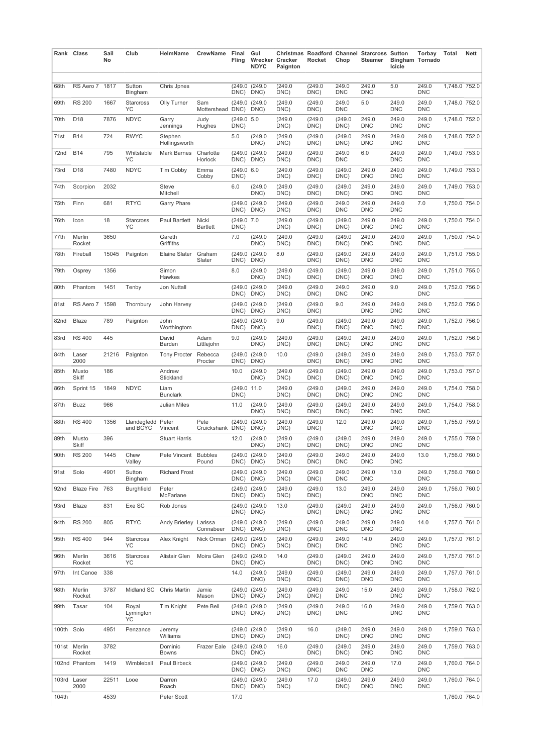|            | Rank Class             | Sail<br>No | Club                     | HelmName                 | CrewName                 | Final<br>Fling      | Gul<br><b>NDYC</b>    | Wrecker Cracker<br>Paignton | Rocket          | Chop                | <b>Christmas Roadford Channel Starcross Sutton</b><br>Steamer | <b>Bingham Tornado</b><br>Icicle | Torbay              | <b>Total</b>  | <b>Nett</b> |
|------------|------------------------|------------|--------------------------|--------------------------|--------------------------|---------------------|-----------------------|-----------------------------|-----------------|---------------------|---------------------------------------------------------------|----------------------------------|---------------------|---------------|-------------|
| 68th       | RS Aero 7              | 1817       | Sutton                   | Chris Jpnes              |                          | (249.0)             | (249.0)               | (249.0)                     | (249.0)         | 249.0               | 249.0                                                         | 5.0                              | 249.0               | 1,748.0 752.0 |             |
| 69th       | <b>RS 200</b>          | 1667       | Bingham<br>Starcross     | Olly Turner              | Sam                      | DNC)                | DNC)<br>(249.0 (249.0 | DNC)<br>(249.0)             | DNC)<br>(249.0  | <b>DNC</b><br>249.0 | <b>DNC</b><br>5.0                                             | 249.0                            | <b>DNC</b><br>249.0 | 1,748.0 752.0 |             |
|            | D <sub>18</sub>        | 7876       | YC                       |                          | Mottershead DNC)         |                     | DNC)                  | DNC)                        | DNC)            | <b>DNC</b>          |                                                               | <b>DNC</b><br>249.0              | <b>DNC</b>          |               |             |
| 70th       |                        |            | <b>NDYC</b>              | Garry<br>Jennings        | Judy<br>Hughes           | (249.0 5.0<br>DNC)  |                       | (249.0<br>DNC)              | (249.0<br>DNC)  | (249.0<br>DNC)      | 249.0<br><b>DNC</b>                                           | <b>DNC</b>                       | 249.0<br><b>DNC</b> | 1,748.0 752.0 |             |
| 71st       | <b>B14</b>             | 724        | <b>RWYC</b>              | Stephen<br>Hollingsworth |                          | 5.0                 | (249.0<br>DNC)        | (249.0)<br>DNC)             | (249.0<br>DNC)  | (249.0)<br>DNC)     | 249.0<br><b>DNC</b>                                           | 249.0<br><b>DNC</b>              | 249.0<br><b>DNC</b> | 1,748.0 752.0 |             |
| 72nd       | <b>B14</b>             | 795        | Whitstable<br>YC         | <b>Mark Barnes</b>       | Charlotte<br>Horlock     | (249.0)<br>DNC)     | (249.0<br>DNC)        | (249.0)<br>DNC)             | (249.0<br>DNC)  | 249.0<br><b>DNC</b> | 6.0                                                           | 249.0<br><b>DNC</b>              | 249.0<br><b>DNC</b> | 1,749.0 753.0 |             |
| 73rd       | D <sub>18</sub>        | 7480       | <b>NDYC</b>              | Tim Cobby                | Emma<br>Cobby            | (249.0)<br>DNC)     | 6.0                   | (249.0)<br>DNC)             | (249.0<br>DNC)  | (249.0)<br>DNC)     | 249.0<br><b>DNC</b>                                           | 249.0<br><b>DNC</b>              | 249.0<br><b>DNC</b> | 1,749.0 753.0 |             |
| 74th       | Scorpion               | 2032       |                          | Steve<br>Mitchell        |                          | 6.0                 | (249.0<br>DNC)        | (249.0)<br>DNC)             | (249.0<br>DNC)  | (249.0)<br>DNC)     | 249.0<br><b>DNC</b>                                           | 249.0<br><b>DNC</b>              | 249.0<br><b>DNC</b> | 1,749.0 753.0 |             |
| 75th       | Finn                   | 681        | <b>RTYC</b>              | <b>Garry Phare</b>       |                          | DNC)                | (249.0 (249.0<br>DNC) | (249.0)<br>DNC)             | (249.0<br>DNC)  | 249.0<br><b>DNC</b> | 249.0<br><b>DNC</b>                                           | 249.0<br><b>DNC</b>              | 7.0                 | 1,750.0 754.0 |             |
| 76th       | Icon                   | 18         | Starcross<br>YC          | Paul Bartlett            | Nicki<br><b>Bartlett</b> | (249.0 7.0<br>DNC)  |                       | (249.0)<br>DNC)             | (249.0<br>DNC)  | (249.0)<br>DNC)     | 249.0<br><b>DNC</b>                                           | 249.0<br><b>DNC</b>              | 249.0<br><b>DNC</b> | 1,750.0 754.0 |             |
| 77th       | Merlin<br>Rocket       | 3650       |                          | Gareth<br>Griffiths      |                          | 7.0                 | (249.0<br>DNC)        | (249.0)<br>DNC)             | (249.0<br>DNC)  | (249.0)<br>DNC)     | 249.0<br><b>DNC</b>                                           | 249.0<br><b>DNC</b>              | 249.0<br><b>DNC</b> | 1,750.0 754.0 |             |
| 78th       | Fireball               | 15045      | Paignton                 | Elaine Slater            | Graham<br>Slater         | (249.0)<br>DNC)     | (249.0<br>DNC)        | 8.0                         | (249.0<br>DNC)  | (249.0)<br>DNC)     | 249.0<br><b>DNC</b>                                           | 249.0<br><b>DNC</b>              | 249.0<br><b>DNC</b> | 1,751.0 755.0 |             |
| 79th       | Osprey                 | 1356       |                          | Simon<br>Hawkes          |                          | 8.0                 | (249.0<br>DNC)        | (249.0)<br>DNC)             | (249.0<br>DNC)  | (249.0)<br>DNC)     | 249.0<br><b>DNC</b>                                           | 249.0<br><b>DNC</b>              | 249.0<br><b>DNC</b> | 1,751.0 755.0 |             |
| 80th       | Phantom                | 1451       | Tenby                    | Jon Nuttall              |                          | (249.0<br>DNC)      | (249.0<br>DNC)        | (249.0)<br>DNC)             | (249.0<br>DNC)  | 249.0<br><b>DNC</b> | 249.0<br><b>DNC</b>                                           | 9.0                              | 249.0<br><b>DNC</b> | 1,752.0 756.0 |             |
| 81st       | RS Aero 7 1598         |            | Thornbury                | John Harvey              |                          | (249.0<br>DNC)      | (249.0<br>DNC)        | (249.0)<br>DNC)             | (249.0)<br>DNC) | 9.0                 | 249.0<br><b>DNC</b>                                           | 249.0<br><b>DNC</b>              | 249.0<br><b>DNC</b> | 1,752.0 756.0 |             |
| 82nd       | Blaze                  | 789        | Paignton                 | John<br>Worthingtom      |                          | (249.0)<br>DNC)     | (249.0<br>DNC)        | 9.0                         | (249.0<br>DNC)  | (249.0)<br>DNC)     | 249.0<br><b>DNC</b>                                           | 249.0<br><b>DNC</b>              | 249.0<br><b>DNC</b> | 1,752.0 756.0 |             |
| 83rd       | <b>RS 400</b>          | 445        |                          | David<br>Barden          | Adam<br>Littlejohn       | 9.0                 | (249.0<br>DNC)        | (249.0)<br>DNC)             | (249.0<br>DNC)  | (249.0)<br>DNC)     | 249.0<br><b>DNC</b>                                           | 249.0<br><b>DNC</b>              | 249.0<br><b>DNC</b> | 1,752.0 756.0 |             |
| 84th       | Laser<br>2000          | 21216      | Paignton                 | Tony Procter Rebecca     | Procter                  | (249.0)<br>DNC)     | (249.0<br>DNC)        | 10.0                        | (249.0)<br>DNC) | (249.0<br>DNC)      | 249.0<br><b>DNC</b>                                           | 249.0<br><b>DNC</b>              | 249.0<br><b>DNC</b> | 1,753.0 757.0 |             |
| 85th       | Musto<br><b>Skiff</b>  | 186        |                          | Andrew<br>Stickland      |                          | 10.0                | (249.0<br>DNC)        | (249.0)<br>DNC)             | (249.0<br>DNC)  | (249.0)<br>DNC)     | 249.0<br><b>DNC</b>                                           | 249.0<br><b>DNC</b>              | 249.0<br><b>DNC</b> | 1,753.0 757.0 |             |
| 86th       | Sprint 15              | 1849       | <b>NDYC</b>              | Liam<br><b>Bunclark</b>  |                          | (249.0 11.0<br>DNC) |                       | (249.0)<br>DNC)             | (249.0<br>DNC)  | (249.0<br>DNC)      | 249.0<br><b>DNC</b>                                           | 249.0<br><b>DNC</b>              | 249.0<br><b>DNC</b> | 1,754.0 758.0 |             |
| 87th       | <b>Buzz</b>            | 966        |                          | <b>Julian Miles</b>      |                          | 11.0                | (249.0<br>DNC)        | (249.0<br>DNC)              | (249.0<br>DNC)  | (249.0)<br>DNC)     | 249.0<br><b>DNC</b>                                           | 249.0<br><b>DNC</b>              | 249.0<br><b>DNC</b> | 1,754.0 758.0 |             |
| 88th       | <b>RS 400</b>          | 1356       | Llandegfedd<br>and BCYC  | Peter<br>Vincent         | Pete<br>Cruickshank DNC) | (249.0)             | (249.0<br>DNC)        | (249.0)<br>DNC)             | (249.0<br>DNC)  | 12.0                | 249.0<br><b>DNC</b>                                           | 249.0<br><b>DNC</b>              | 249.0<br><b>DNC</b> | 1,755.0 759.0 |             |
| 89th       | Musto<br><b>Skiff</b>  | 396        |                          | <b>Stuart Harris</b>     |                          | 12.0                | (249.0<br>DNC)        | (249.0)<br>DNC)             | (249.0<br>DNC)  | (249.0)<br>DNC)     | 249.0<br><b>DNC</b>                                           | 249.0<br><b>DNC</b>              | 249.0<br><b>DNC</b> | 1,755.0 759.0 |             |
| 90th       | <b>RS 200</b>          | 1445       | Chew<br>Valley           | Pete Vincent Bubbles     | Pound                    | DNC) DNC)           | (249.0 (249.0         | (249.0<br>DNC)              | (249.0<br>DNC)  | 249.0<br><b>DNC</b> | 249.0<br><b>DNC</b>                                           | 249.0<br><b>DNC</b>              | 13.0                | 1,756.0 760.0 |             |
| 91st       | Solo                   | 4901       | Sutton<br>Bingham        | <b>Richard Frost</b>     |                          | DNC) DNC)           | (249.0 (249.0         | (249.0<br>DNC)              | (249.0<br>DNC)  | 249.0<br><b>DNC</b> | 249.0<br><b>DNC</b>                                           | 13.0                             | 249.0<br><b>DNC</b> | 1,756.0 760.0 |             |
| 92nd       | Blaze Fire 763         |            | <b>Burghfield</b>        | Peter<br>McFarlane       |                          | DNC) DNC)           | (249.0 (249.0         | (249.0)<br>DNC)             | (249.0)<br>DNC) | 13.0                | 249.0<br><b>DNC</b>                                           | 249.0<br><b>DNC</b>              | 249.0<br><b>DNC</b> | 1,756.0 760.0 |             |
| 93rd       | Blaze                  | 831        | Exe SC                   | Rob Jones                |                          | DNC) DNC)           | (249.0 (249.0         | 13.0                        | (249.0<br>DNC)  | (249.0)<br>DNC)     | 249.0<br><b>DNC</b>                                           | 249.0<br><b>DNC</b>              | 249.0<br><b>DNC</b> | 1,756.0 760.0 |             |
| 94th       | <b>RS 200</b>          | 805        | <b>RTYC</b>              | Andy Brierley Larissa    | Connabeer                | DNC) DNC)           | (249.0 (249.0         | (249.0)<br>DNC)             | (249.0)<br>DNC) | 249.0<br><b>DNC</b> | 249.0<br><b>DNC</b>                                           | 249.0<br><b>DNC</b>              | 14.0                | 1,757.0 761.0 |             |
| 95th       | <b>RS 400</b>          | 944        | Starcross<br>YC          | Alex Knight              | Nick Orman               | DNC)                | (249.0 (249.0<br>DNC) | (249.0)<br>DNC)             | (249.0)<br>DNC) | 249.0<br><b>DNC</b> | 14.0                                                          | 249.0<br><b>DNC</b>              | 249.0<br>DNC        | 1,757.0 761.0 |             |
| 96th       | Merlin<br>Rocket       | 3616       | Starcross<br>YC          | Alistair Glen            | Moira Glen               | DNC)                | (249.0 (249.0<br>DNC) | 14.0                        | (249.0<br>DNC)  | (249.0)<br>DNC)     | 249.0<br><b>DNC</b>                                           | 249.0<br><b>DNC</b>              | 249.0<br><b>DNC</b> | 1,757.0 761.0 |             |
| 97th       | Int Canoe              | 338        |                          |                          |                          | 14.0                | (249.0<br>DNC)        | (249.0)<br>DNC)             | (249.0)<br>DNC) | (249.0)<br>DNC)     | 249.0<br><b>DNC</b>                                           | 249.0<br><b>DNC</b>              | 249.0<br><b>DNC</b> | 1,757.0 761.0 |             |
| 98th       | Merlin<br>Rocket       | 3787       | Midland SC Chris Martin  |                          | Jamie<br>Mason           | DNC) DNC)           | (249.0 (249.0         | (249.0)<br>DNC)             | (249.0)<br>DNC) | 249.0<br><b>DNC</b> | 15.0                                                          | 249.0<br><b>DNC</b>              | 249.0<br><b>DNC</b> | 1,758.0 762.0 |             |
| 99th       | Tasar                  | 104        | Royal<br>Lymington<br>YC | Tim Knight               | Pete Bell                | DNC) DNC)           | (249.0 (249.0         | (249.0)<br>DNC)             | (249.0)<br>DNC) | 249.0<br><b>DNC</b> | 16.0                                                          | 249.0<br><b>DNC</b>              | 249.0<br><b>DNC</b> | 1,759.0 763.0 |             |
| 100th Solo |                        | 4951       | Penzance                 | Jeremy<br>Williams       |                          | DNC) DNC)           | (249.0 (249.0         | (249.0)<br>DNC)             | 16.0            | (249.0)<br>DNC)     | 249.0<br><b>DNC</b>                                           | 249.0<br><b>DNC</b>              | 249.0<br><b>DNC</b> | 1,759.0 763.0 |             |
|            | 101st Merlin<br>Rocket | 3782       |                          | Dominic<br>Bowns         | <b>Frazer Eale</b>       | DNC) DNC)           | (249.0 (249.0         | 16.0                        | (249.0)<br>DNC) | (249.0)<br>DNC)     | 249.0<br><b>DNC</b>                                           | 249.0<br><b>DNC</b>              | 249.0<br><b>DNC</b> | 1,759.0 763.0 |             |
|            | 102nd Phantom          | 1419       | Wimbleball               | Paul Birbeck             |                          | DNC) DNC)           | (249.0 (249.0         | (249.0)<br>DNC)             | (249.0)<br>DNC) | 249.0<br>DNC        | 249.0<br><b>DNC</b>                                           | 17.0                             | 249.0<br>DNC        | 1,760.0 764.0 |             |
|            | 103rd Laser<br>2000    | 22511      | Looe                     | Darren<br>Roach          |                          | DNC)                | (249.0 (249.0<br>DNC) | (249.0)<br>DNC)             | 17.0            | (249.0)<br>DNC)     | 249.0<br><b>DNC</b>                                           | 249.0<br><b>DNC</b>              | 249.0<br><b>DNC</b> | 1,760.0 764.0 |             |
| 104th      |                        | 4539       |                          | Peter Scott              |                          | 17.0                |                       |                             |                 |                     |                                                               |                                  |                     | 1,760.0 764.0 |             |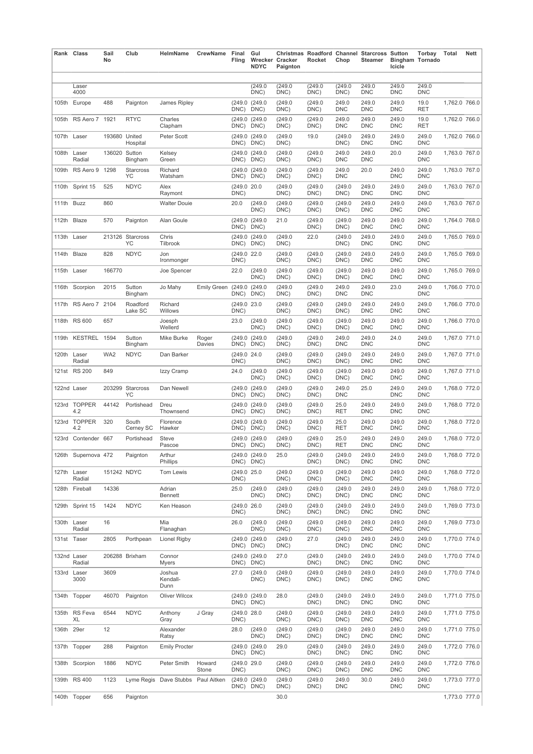|            | Rank Class            | Sail<br>No    | Club                   | HelmName                           | CrewName           | Final<br>Fling      | Gul<br><b>NDYC</b>    | Wrecker Cracker<br>Paignton | Rocket          | Chop                | <b>Christmas Roadford Channel Starcross Sutton</b><br>Steamer | <b>Bingham Tornado</b><br>Icicle | Torbay              | Total         | <b>Nett</b> |
|------------|-----------------------|---------------|------------------------|------------------------------------|--------------------|---------------------|-----------------------|-----------------------------|-----------------|---------------------|---------------------------------------------------------------|----------------------------------|---------------------|---------------|-------------|
|            | Laser                 |               |                        |                                    |                    |                     | (249.0)               | (249.0)                     | (249.0)         | (249.0              | 249.0                                                         | 249.0                            | 249.0               |               |             |
|            | 4000                  |               |                        |                                    |                    |                     | DNC)                  | DNC)                        | DNC)            | DNC)                | <b>DNC</b>                                                    | <b>DNC</b>                       | <b>DNC</b>          |               |             |
| 105th      | Europe                | 488           | Paignton               | James Ripley                       |                    | (249.0<br>DNC)      | (249.0<br>DNC)        | (249.0)<br>DNC)             | (249.0<br>DNC)  | 249.0<br><b>DNC</b> | 249.0<br><b>DNC</b>                                           | 249.0<br><b>DNC</b>              | 19.0<br>RET         | 1,762.0 766.0 |             |
| 105th      | RS Aero 7 1921        |               | <b>RTYC</b>            | Charles<br>Clapham                 |                    | (249.0<br>DNC)      | (249.0<br>DNC)        | (249.0<br>DNC)              | (249.0<br>DNC)  | 249.0<br><b>DNC</b> | 249.0<br><b>DNC</b>                                           | 249.0<br><b>DNC</b>              | 19.0<br>RET         | 1,762.0 766.0 |             |
|            | 107th Laser           | 193680 United | Hospital               | Peter Scott                        |                    | (249.0<br>DNC)      | (249.0<br>DNC)        | (249.0)<br>DNC)             | 19.0            | (249.0)<br>DNC)     | 249.0<br><b>DNC</b>                                           | 249.0<br><b>DNC</b>              | 249.0<br><b>DNC</b> | 1,762.0 766.0 |             |
| 108th      | Laser<br>Radial       | 136020 Sutton | Bingham                | Kelsey<br>Green                    |                    | (249.0<br>DNC)      | (249.0<br>DNC)        | (249.0)<br>DNC)             | (249.0)<br>DNC) | 249.0<br><b>DNC</b> | 249.0<br><b>DNC</b>                                           | 20.0                             | 249.0<br><b>DNC</b> | 1,763.0 767.0 |             |
| 109th      | RS Aero 9 1298        |               | Starcross<br>ΥC        | Richard<br>Watsham                 |                    | DNC)                | (249.0 (249.0<br>DNC) | (249.0)<br>DNC)             | (249.0<br>DNC)  | 249.0<br><b>DNC</b> | 20.0                                                          | 249.0<br><b>DNC</b>              | 249.0<br><b>DNC</b> | 1,763.0 767.0 |             |
| 110th      | Sprint 15             | 525           | <b>NDYC</b>            | Alex<br>Raymont                    |                    | (249.0 20.0<br>DNC) |                       | (249.0)<br>DNC)             | (249.0<br>DNC)  | (249.0)<br>DNC)     | 249.0<br><b>DNC</b>                                           | 249.0<br><b>DNC</b>              | 249.0<br><b>DNC</b> | 1,763.0 767.0 |             |
| 111th Buzz |                       | 860           |                        | <b>Walter Douie</b>                |                    | 20.0                | (249.0<br>DNC)        | (249.0)<br>DNC)             | (249.0<br>DNC)  | (249.0)<br>DNC)     | 249.0<br><b>DNC</b>                                           | 249.0<br><b>DNC</b>              | 249.0<br><b>DNC</b> | 1,763.0 767.0 |             |
| 112th      | Blaze                 | 570           | Paignton               | Alan Goule                         |                    | (249.0)<br>DNC)     | (249.0<br>DNC)        | 21.0                        | (249.0)<br>DNC) | (249.0)<br>DNC)     | 249.0<br><b>DNC</b>                                           | 249.0<br><b>DNC</b>              | 249.0<br><b>DNC</b> | 1,764.0 768.0 |             |
|            | 113th Laser           |               | 213126 Starcross<br>YC | Chris<br>Tilbrook                  |                    | (249.0<br>DNC)      | (249.0<br>DNC)        | (249.0)<br>DNC)             | 22.0            | (249.0)<br>DNC)     | 249.0<br><b>DNC</b>                                           | 249.0<br><b>DNC</b>              | 249.0<br>DNC        | 1,765.0 769.0 |             |
|            | 114th Blaze           | 828           | <b>NDYC</b>            | Jon<br>Ironmonger                  |                    | (249.0 22.0<br>DNC) |                       | (249.0<br>DNC)              | (249.0<br>DNC)  | (249.0)<br>DNC)     | 249.0<br><b>DNC</b>                                           | 249.0<br><b>DNC</b>              | 249.0<br><b>DNC</b> | 1,765.0 769.0 |             |
|            | 115th Laser           | 166770        |                        | Joe Spencer                        |                    | 22.0                | (249.0<br>DNC)        | (249.0)<br>DNC)             | (249.0<br>DNC)  | (249.0)<br>DNC)     | 249.0<br><b>DNC</b>                                           | 249.0<br><b>DNC</b>              | 249.0<br><b>DNC</b> | 1,765.0 769.0 |             |
| 116th      | Scorpion              | 2015          | Sutton<br>Bingham      | Jo Mahy                            | <b>Emily Green</b> | (249.0)<br>DNC)     | (249.0<br>DNC)        | (249.0)<br>DNC)             | (249.0<br>DNC)  | 249.0<br><b>DNC</b> | 249.0<br><b>DNC</b>                                           | 23.0                             | 249.0<br><b>DNC</b> | 1,766.0 770.0 |             |
| 117th      | RS Aero 7 2104        |               | Roadford<br>Lake SC    | Richard<br>Willows                 |                    | (249.0 23.0<br>DNC) |                       | (249.0)<br>DNC)             | (249.0)<br>DNC) | (249.0)<br>DNC)     | 249.0<br><b>DNC</b>                                           | 249.0<br><b>DNC</b>              | 249.0<br>DNC        | 1,766.0 770.0 |             |
| 118th      | <b>RS 600</b>         | 657           |                        | Joesph<br>Wellerd                  |                    | 23.0                | (249.0<br>DNC)        | (249.0)<br>DNC)             | (249.0<br>DNC)  | (249.0)<br>DNC)     | 249.0<br><b>DNC</b>                                           | 249.0<br><b>DNC</b>              | 249.0<br><b>DNC</b> | 1,766.0 770.0 |             |
| 119th      | KESTREL 1594          |               | Sutton<br>Bingham      | Mike Burke                         | Roger<br>Davies    | DNC)                | (249.0 (249.0<br>DNC) | (249.0)<br>DNC)             | (249.0<br>DNC)  | 249.0<br><b>DNC</b> | 249.0<br><b>DNC</b>                                           | 24.0                             | 249.0<br><b>DNC</b> | 1,767.0 771.0 |             |
|            | 120th Laser<br>Radial | WA2           | <b>NDYC</b>            | Dan Barker                         |                    | (249.0 24.0<br>DNC) |                       | (249.0)<br>DNC)             | (249.0)<br>DNC) | (249.0<br>DNC)      | 249.0<br><b>DNC</b>                                           | 249.0<br><b>DNC</b>              | 249.0<br><b>DNC</b> | 1,767.0 771.0 |             |
|            | 121st RS 200          | 849           |                        | Izzy Cramp                         |                    | 24.0                | (249.0<br>DNC)        | (249.0)<br>DNC)             | (249.0<br>DNC)  | (249.0)<br>DNC)     | 249.0<br><b>DNC</b>                                           | 249.0<br><b>DNC</b>              | 249.0<br>DNC        | 1,767.0 771.0 |             |
|            | 122nd Laser           |               | 203299 Starcross<br>YC | Dan Newell                         |                    | DNC)                | (249.0 (249.0<br>DNC) | (249.0)<br>DNC)             | (249.0<br>DNC)  | 249.0<br><b>DNC</b> | 25.0                                                          | 249.0<br><b>DNC</b>              | 249.0<br><b>DNC</b> | 1,768.0 772.0 |             |
|            | 123rd TOPPER<br>4.2   | 44142         | Portishead             | Dreu<br>Thownsend                  |                    | (249.0)<br>DNC)     | (249.0<br>DNC)        | (249.0)<br>DNC)             | (249.0<br>DNC)  | 25.0<br>RET         | 249.0<br><b>DNC</b>                                           | 249.0<br><b>DNC</b>              | 249.0<br><b>DNC</b> | 1,768.0 772.0 |             |
| 123rd      | <b>TOPPER</b><br>4.2  | 320           | South<br>Cerney SC     | Florence<br>Hawker                 |                    | (249.0<br>DNC)      | (249.0<br>DNC)        | (249.0)<br>DNC)             | (249.0<br>DNC)  | 25.0<br>RET         | 249.0<br><b>DNC</b>                                           | 249.0<br><b>DNC</b>              | 249.0<br><b>DNC</b> | 1,768.0 772.0 |             |
| 123rd      | Contender 667         |               | Portishead             | <b>Steve</b><br>Pascoe             |                    | DNC) DNC)           | (249.0 (249.0         | (249.0)<br>DNC)             | (249.0)<br>DNC) | 25.0<br>RET         | 249.0<br><b>DNC</b>                                           | 249.0<br><b>DNC</b>              | 249.0<br><b>DNC</b> | 1,768.0 772.0 |             |
|            | 126th Supernova 472   |               | Paignton               | Arthur<br>Phillips                 |                    | DNC) DNC)           | (249.0 (249.0         | 25.0                        | (249.0<br>DNC)  | (249.0<br>DNC)      | 249.0<br><b>DNC</b>                                           | 249.0<br><b>DNC</b>              | 249.0<br><b>DNC</b> | 1,768.0 772.0 |             |
|            | 127th Laser<br>Radial | 151242 NDYC   |                        | Tom Lewis                          |                    | (249.0 25.0<br>DNC) |                       | (249.0)<br>DNC)             | (249.0<br>DNC)  | (249.0)<br>DNC)     | 249.0<br><b>DNC</b>                                           | 249.0<br><b>DNC</b>              | 249.0<br><b>DNC</b> | 1,768.0 772.0 |             |
|            | 128th Fireball        | 14336         |                        | Adrian<br>Bennett                  |                    | 25.0                | (249.0<br>DNC)        | (249.0<br>DNC)              | (249.0<br>DNC)  | (249.0)<br>DNC)     | 249.0<br><b>DNC</b>                                           | 249.0<br><b>DNC</b>              | 249.0<br><b>DNC</b> | 1,768.0 772.0 |             |
|            | 129th Sprint 15       | 1424          | <b>NDYC</b>            | Ken Heason                         |                    | (249.0 26.0<br>DNC) |                       | (249.0)<br>DNC)             | (249.0)<br>DNC) | (249.0)<br>DNC)     | 249.0<br><b>DNC</b>                                           | 249.0<br><b>DNC</b>              | 249.0<br><b>DNC</b> | 1,769.0 773.0 |             |
|            | 130th Laser<br>Radial | 16            |                        | Mia<br>Flanaghan                   |                    | 26.0                | (249.0<br>DNC)        | (249.0)<br>DNC)             | (249.0)<br>DNC) | (249.0)<br>DNC)     | 249.0<br><b>DNC</b>                                           | 249.0<br><b>DNC</b>              | 249.0<br><b>DNC</b> | 1,769.0 773.0 |             |
|            | 131st Taser           | 2805          | Porthpean              | Lionel Rigby                       |                    | DNC)                | (249.0 (249.0<br>DNC) | (249.0)<br>DNC)             | 27.0            | (249.0)<br>DNC)     | 249.0<br><b>DNC</b>                                           | 249.0<br><b>DNC</b>              | 249.0<br>DNC        | 1,770.0 774.0 |             |
|            | 132nd Laser<br>Radial |               | 206288 Brixham         | Connor<br>Myers                    |                    | DNC)                | (249.0 (249.0<br>DNC) | 27.0                        | (249.0)<br>DNC) | (249.0)<br>DNC)     | 249.0<br><b>DNC</b>                                           | 249.0<br><b>DNC</b>              | 249.0<br>DNC        | 1,770.0 774.0 |             |
|            | 133rd Laser<br>3000   | 3609          |                        | Joshua<br>Kendall-<br>Dunn         |                    | 27.0                | (249.0<br>DNC)        | (249.0)<br>DNC)             | (249.0)<br>DNC) | (249.0)<br>DNC)     | 249.0<br><b>DNC</b>                                           | 249.0<br><b>DNC</b>              | 249.0<br><b>DNC</b> | 1,770.0 774.0 |             |
|            | 134th Topper          | 46070         | Paignton               | Oliver Wilcox                      |                    | DNC) DNC)           | (249.0 (249.0         | 28.0                        | (249.0<br>DNC)  | (249.0)<br>DNC)     | 249.0<br><b>DNC</b>                                           | 249.0<br><b>DNC</b>              | 249.0<br><b>DNC</b> | 1,771.0 775.0 |             |
|            | 135th RS Feva<br>XL   | 6544          | <b>NDYC</b>            | Anthony<br>Gray                    | J Gray             | (249.0 28.0<br>DNC) |                       | (249.0<br>DNC)              | (249.0<br>DNC)  | (249.0)<br>DNC)     | 249.0<br><b>DNC</b>                                           | 249.0<br><b>DNC</b>              | 249.0<br><b>DNC</b> | 1,771.0 775.0 |             |
| 136th 29er |                       | 12            |                        | Alexander<br>Ratsy                 |                    | 28.0                | (249.0<br>DNC)        | (249.0)<br>DNC)             | (249.0)<br>DNC) | (249.0)<br>DNC)     | 249.0<br><b>DNC</b>                                           | 249.0<br><b>DNC</b>              | 249.0<br>DNC        | 1,771.0 775.0 |             |
|            | 137th Topper          | 288           | Paignton               | <b>Emily Procter</b>               |                    | DNC) DNC)           | (249.0 (249.0         | 29.0                        | (249.0<br>DNC)  | (249.0)<br>DNC)     | 249.0<br><b>DNC</b>                                           | 249.0<br><b>DNC</b>              | 249.0<br><b>DNC</b> | 1,772.0 776.0 |             |
|            | 138th Scorpion        | 1886          | <b>NDYC</b>            | Peter Smith                        | Howard<br>Stone    | (249.0 29.0<br>DNC) |                       | (249.0)<br>DNC)             | (249.0)<br>DNC) | (249.0)<br>DNC)     | 249.0<br><b>DNC</b>                                           | 249.0<br><b>DNC</b>              | 249.0<br>DNC        | 1,772.0 776.0 |             |
|            | 139th RS 400          | 1123          |                        | Lyme Regis Dave Stubbs Paul Aitken |                    | DNC) DNC)           | (249.0 (249.0         | (249.0)<br>DNC)             | (249.0)<br>DNC) | 249.0<br><b>DNC</b> | 30.0                                                          | 249.0<br><b>DNC</b>              | 249.0<br><b>DNC</b> | 1,773.0 777.0 |             |
|            | 140th Topper          | 656           | Paignton               |                                    |                    |                     |                       | 30.0                        |                 |                     |                                                               |                                  |                     | 1,773.0 777.0 |             |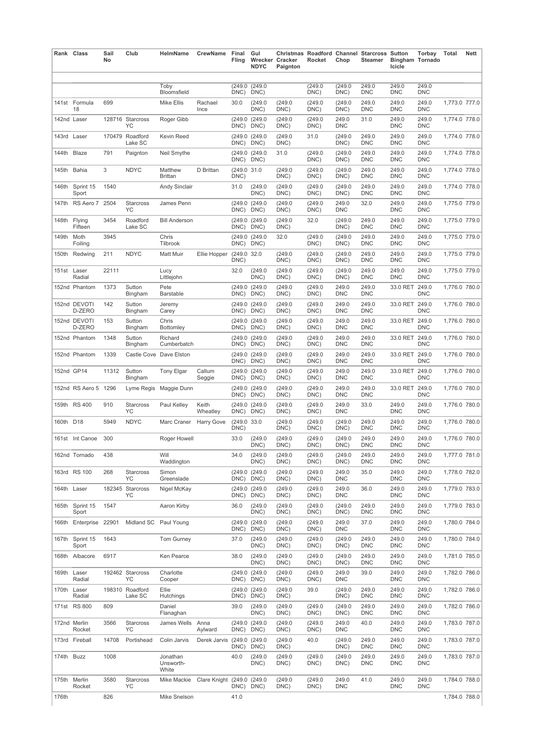|            | Rank Class               | Sail<br>No | Club                       | HelmName                               | CrewName                   | Final<br>Fling        | Gul<br><b>NDYC</b>            | Wrecker Cracker<br>Paignton | Rocket                 | Chop                   | <b>Christmas Roadford Channel Starcross Sutton</b><br>Steamer | <b>Bingham Tornado</b><br>Icicle | Torbay              | Total         | <b>Nett</b> |
|------------|--------------------------|------------|----------------------------|----------------------------------------|----------------------------|-----------------------|-------------------------------|-----------------------------|------------------------|------------------------|---------------------------------------------------------------|----------------------------------|---------------------|---------------|-------------|
|            |                          |            |                            | Toby                                   |                            | (249.0)               | (249.0)                       |                             | (249.0)                | (249.0)                | 249.0                                                         | 249.0                            | 249.0               |               |             |
|            | 141st Formula            | 699        |                            | Bloomsfield<br><b>Mike Ellis</b>       | Rachael                    | DNC)<br>30.0          | DNC)<br>(249.0)               | (249.0)                     | DNC)<br>(249.0         | DNC)<br>(249.0         | <b>DNC</b><br>249.0                                           | <b>DNC</b><br>249.0              | <b>DNC</b><br>249.0 | 1,773.0 777.0 |             |
|            | 18<br>142nd Laser        |            | 128716 Starcross           | Roger Gibb                             | Ince                       | (249.0                | DNC)<br>(249.0)               | DNC)<br>(249.0              | DNC)<br>(249.0         | DNC)<br>249.0          | <b>DNC</b><br>31.0                                            | <b>DNC</b><br>249.0              | <b>DNC</b><br>249.0 | 1,774.0 778.0 |             |
|            |                          |            | YC                         |                                        |                            | DNC)                  | DNC)                          | DNC)                        | DNC)                   | <b>DNC</b>             |                                                               | <b>DNC</b>                       | <b>DNC</b>          |               |             |
|            | 143rd Laser              |            | 170479 Roadford<br>Lake SC | Kevin Reed                             |                            | (249.0)<br>DNC)       | (249.0)<br>DNC)               | (249.0)<br>DNC)             | 31.0                   | (249.0<br>DNC)         | 249.0<br><b>DNC</b>                                           | 249.0<br><b>DNC</b>              | 249.0<br><b>DNC</b> | 1,774.0 778.0 |             |
|            | 144th Blaze              | 791        | Paignton                   | Neil Smythe                            |                            | (249.0)<br>DNC)       | (249.0)<br>DNC)               | 31.0                        | (249.0<br>DNC)         | (249.0<br>DNC)         | 249.0<br><b>DNC</b>                                           | 249.0<br><b>DNC</b>              | 249.0<br><b>DNC</b> | 1.774.0 778.0 |             |
| 145th      | Bahia                    | 3          | <b>NDYC</b>                | Matthew<br><b>Brittan</b>              | D Brittan                  | (249.0 31.0<br>DNC)   |                               | (249.0)<br>DNC)             | (249.0<br>DNC)         | (249.0<br>DNC)         | 249.0<br><b>DNC</b>                                           | 249.0<br><b>DNC</b>              | 249.0<br>DNC        | 1,774.0 778.0 |             |
| 146th      | Sprint 15<br>Sport       | 1540       |                            | <b>Andy Sinclair</b>                   |                            | 31.0                  | (249.0)<br>DNC)               | (249.0)<br>DNC)             | (249.0<br>DNC)         | (249.0<br>DNC)         | 249.0<br><b>DNC</b>                                           | 249.0<br><b>DNC</b>              | 249.0<br><b>DNC</b> | 1,774.0 778.0 |             |
| 147th      | RS Aero 7                | 2504       | Starcross<br>ΥC            | James Penn                             |                            | DNC)                  | (249.0 (249.0<br>DNC)         | (249.0)<br>DNC)             | (249.0<br>DNC)         | 249.0<br><b>DNC</b>    | 32.0                                                          | 249.0<br><b>DNC</b>              | 249.0<br><b>DNC</b> | 1,775.0 779.0 |             |
| 148th      | Flying<br>Fifteen        | 3454       | Roadford<br>Lake SC        | <b>Bill Anderson</b>                   |                            | DNC)                  | (249.0 (249.0<br>DNC)         | (249.0)<br>DNC)             | 32.0                   | (249.0<br>DNC)         | 249.0<br><b>DNC</b>                                           | 249.0<br><b>DNC</b>              | 249.0<br><b>DNC</b> | 1,775.0 779.0 |             |
| 149th      | Moth<br>Foiling          | 3945       |                            | Chris<br>Tilbrook                      |                            | (249.0)<br>DNC)       | (249.0)<br>DNC)               | 32.0                        | (249.0<br>DNC)         | (249.0<br>DNC)         | 249.0<br><b>DNC</b>                                           | 249.0<br><b>DNC</b>              | 249.0<br><b>DNC</b> | 1,775.0 779.0 |             |
| 150th      | Redwing                  | 211        | <b>NDYC</b>                | Matt Muir                              | Ellie Hopper               | (249.0 32.0<br>DNC)   |                               | (249.0)<br>DNC)             | (249.0<br>DNC)         | (249.0<br>DNC)         | 249.0<br><b>DNC</b>                                           | 249.0<br><b>DNC</b>              | 249.0<br><b>DNC</b> | 1,775.0 779.0 |             |
|            | 151st Laser<br>Radial    | 22111      |                            | Lucy<br>Littlejohn                     |                            | 32.0                  | (249.0)<br>DNC)               | (249.0)<br>DNC)             | (249.0<br>DNC)         | (249.0<br>DNC)         | 249.0<br><b>DNC</b>                                           | 249.0<br><b>DNC</b>              | 249.0<br><b>DNC</b> | 1,775.0 779.0 |             |
|            | 152nd Phantom            | 1373       | Sutton<br>Bingham          | Pete<br>Barstable                      |                            | (249.0)<br>DNC)       | (249.0)<br>DNC)               | (249.0)<br>DNC)             | (249.0<br>DNC)         | 249.0<br><b>DNC</b>    | 249.0<br><b>DNC</b>                                           | 33.0 RET                         | 249.0<br><b>DNC</b> | 1,776.0 780.0 |             |
|            | 152nd DEVOTI<br>D-ZERO   | 142        | Sutton<br>Bingham          | Jeremy<br>Carey                        |                            | (249.0<br>DNC)        | (249.0<br>DNC)                | (249.0)<br>DNC)             | (249.0<br>DNC)         | 249.0<br><b>DNC</b>    | 249.0<br><b>DNC</b>                                           | 33.0 RET                         | 249.0<br><b>DNC</b> | 1,776.0 780.0 |             |
|            | 152nd DEVOTI<br>D-ZERO   | 153        | Sutton<br>Bingham          | Chris<br>Bottomley                     |                            | (249.0<br>DNC)        | (249.0)<br>DNC)               | (249.0)<br>DNC)             | (249.0<br>DNC)         | 249.0<br><b>DNC</b>    | 249.0<br><b>DNC</b>                                           | 33.0 RET 249.0                   | <b>DNC</b>          | 1,776.0 780.0 |             |
|            | 152nd Phantom            | 1348       | Sutton                     | Richard                                |                            |                       | (249.0 (249.0                 | (249.0)                     | (249.0                 | 249.0<br><b>DNC</b>    | 249.0<br><b>DNC</b>                                           | 33.0 RET                         | 249.0<br><b>DNC</b> | 1,776.0 780.0 |             |
|            | 152nd Phantom            | 1339       | Bingham                    | Cumberbatch<br>Castle Cove Dave Elston |                            | DNC)<br>DNC)          | DNC)<br>(249.0 (249.0<br>DNC) | DNC)<br>(249.0)<br>DNC)     | DNC)<br>(249.0<br>DNC) | 249.0<br><b>DNC</b>    | 249.0<br><b>DNC</b>                                           | 33.0 RET 249.0                   | <b>DNC</b>          | 1,776.0 780.0 |             |
|            | 152nd GP14               | 11312      | Sutton<br>Bingham          | <b>Tony Elgar</b>                      | Callum                     | DNC)                  | (249.0 (249.0<br>DNC)         | (249.0)<br>DNC)             | (249.0<br>DNC)         | 249.0<br><b>DNC</b>    | 249.0<br><b>DNC</b>                                           | 33.0 RET 249.0                   | <b>DNC</b>          | 1,776.0 780.0 |             |
|            | 152nd RS Aero 5 1296     |            | Lyme Regis                 | Maggie Dunn                            | Seggie                     | (249.0<br>DNC)        | (249.0<br>DNC)                | (249.0)<br>DNC)             | (249.0<br>DNC)         | 249.0<br><b>DNC</b>    | 249.0<br><b>DNC</b>                                           | 33.0 RET 249.0                   | <b>DNC</b>          | 1,776.0 780.0 |             |
|            | 159th RS 400             | 910        | Starcross<br>YC            | Paul Kelley                            | Keith<br>Wheatley          | DNC)                  | (249.0 (249.0<br>DNC)         | (249.0)                     | (249.0<br>DNC)         | 249.0<br><b>DNC</b>    | 33.0                                                          | 249.0<br><b>DNC</b>              | 249.0<br><b>DNC</b> | 1,776.0 780.0 |             |
| 160th D18  |                          | 5949       | <b>NDYC</b>                | Marc Craner                            | Harry Gove                 | (249.0 33.0           |                               | DNC)<br>(249.0)             | (249.0                 | (249.0)                | 249.0<br><b>DNC</b>                                           | 249.0<br><b>DNC</b>              | 249.0<br><b>DNC</b> | 1,776.0 780.0 |             |
|            | 161st Int Canoe          | 300        |                            | Roger Howell                           |                            | DNC)<br>33.0          | (249.0)<br>DNC)               | DNC)<br>(249.0)<br>DNC)     | DNC)<br>(249.0<br>DNC) | DNC)<br>(249.0<br>DNC) | 249.0<br><b>DNC</b>                                           | 249.0<br><b>DNC</b>              | 249.0<br><b>DNC</b> | 1,776.0 780.0 |             |
|            | 162nd Tornado            | 438        |                            | Will                                   |                            | 34.0                  | (249.0                        | (249.0                      | (249.0                 | (249.0)                | 249.0                                                         | 249.0                            | 249.0               | 1,777.0 781.0 |             |
|            | 163rd RS 100             | 268        | <b>Starcross</b>           | Waddington<br>Simon                    |                            |                       | DNC)<br>(249.0 (249.0         | DNC)<br>(249.0)             | DNC)<br>(249.0         | DNC)<br>249.0          | <b>DNC</b><br>35.0                                            | <b>DNC</b><br>249.0              | <b>DNC</b><br>249.0 | 1,778.0 782.0 |             |
|            | 164th Laser              |            | YC<br>182345 Starcross     | Greenslade<br>Nigel McKay              |                            | DNC) DNC)             | (249.0 (249.0                 | DNC)<br>(249.0)             | DNC)<br>(249.0         | <b>DNC</b><br>249.0    | 36.0                                                          | <b>DNC</b><br>249.0              | <b>DNC</b><br>249.0 | 1,779.0 783.0 |             |
|            | 165th Sprint 15          | 1547       | YC                         | Aaron Kirby                            |                            | DNC)<br>36.0          | DNC)<br>(249.0)               | DNC)<br>(249.0)             | DNC)<br>(249.0)        | <b>DNC</b><br>(249.0)  | 249.0                                                         | <b>DNC</b><br>249.0              | <b>DNC</b><br>249.0 | 1,779.0 783.0 |             |
|            | Sport                    |            |                            |                                        |                            |                       | DNC)<br>(249.0)               | DNC)                        | DNC)                   | DNC)                   | <b>DNC</b>                                                    | <b>DNC</b>                       | <b>DNC</b>          |               |             |
|            | 166th Enterprise 22901   |            | Midland SC Paul Young      |                                        |                            | (249.0)<br>DNC)       | DNC)                          | (249.0)<br>DNC)             | (249.0)<br>DNC)        | 249.0<br><b>DNC</b>    | 37.0                                                          | 249.0<br><b>DNC</b>              | 249.0<br><b>DNC</b> | 1,780.0 784.0 |             |
|            | 167th Sprint 15<br>Sport | 1643       |                            | <b>Tom Gurney</b>                      |                            | 37.0                  | (249.0)<br>DNC)               | (249.0)<br>DNC)             | (249.0<br>DNC)         | (249.0)<br>DNC)        | 249.0<br><b>DNC</b>                                           | 249.0<br><b>DNC</b>              | 249.0<br>DNC        | 1,780.0 784.0 |             |
|            | 168th Albacore           | 6917       |                            | Ken Pearce                             |                            | 38.0                  | (249.0)<br>DNC)               | (249.0)<br>DNC)             | (249.0<br>DNC)         | (249.0)<br>DNC)        | 249.0<br><b>DNC</b>                                           | 249.0<br><b>DNC</b>              | 249.0<br><b>DNC</b> | 1,781.0 785.0 |             |
|            | 169th Laser<br>Radial    |            | 192462 Starcross<br>YC     | Charlotte<br>Cooper                    |                            | DNC)                  | (249.0 (249.0<br>DNC)         | (249.0)<br>DNC)             | (249.0<br>DNC)         | 249.0<br><b>DNC</b>    | 39.0                                                          | 249.0<br><b>DNC</b>              | 249.0<br><b>DNC</b> | 1,782.0 786.0 |             |
| 170th      | Laser<br>Radial          |            | 198310 Roadford<br>Lake SC | Ellie<br>Hutchings                     |                            | DNC) DNC)             | (249.0 (249.0                 | (249.0)<br>DNC)             | 39.0                   | (249.0)<br>DNC)        | 249.0<br><b>DNC</b>                                           | 249.0<br><b>DNC</b>              | 249.0<br><b>DNC</b> | 1,782.0 786.0 |             |
|            | 171st RS 800             | 809        |                            | Daniel<br>Flanaghan                    |                            | 39.0                  | (249.0)<br>DNC)               | (249.0)<br>DNC)             | (249.0<br>DNC)         | (249.0<br>DNC)         | 249.0<br><b>DNC</b>                                           | 249.0<br><b>DNC</b>              | 249.0<br><b>DNC</b> | 1,782.0 786.0 |             |
|            | 172nd Merlin<br>Rocket   | 3566       | Starcross<br>YC            | James Wells                            | Anna<br>Aylward            | DNC) DNC)             | (249.0 (249.0                 | (249.0)<br>DNC)             | (249.0<br>DNC)         | 249.0<br><b>DNC</b>    | 40.0                                                          | 249.0<br><b>DNC</b>              | 249.0<br><b>DNC</b> | 1,783.0 787.0 |             |
|            | 173rd Fireball           | 14708      | Portishead                 | Colin Jarvis                           | Derek Jarvis               | (249.0 (249.0<br>DNC) | DNC)                          | (249.0)<br>DNC)             | 40.0                   | (249.0<br>DNC)         | 249.0<br><b>DNC</b>                                           | 249.0<br><b>DNC</b>              | 249.0<br><b>DNC</b> | 1,783.0 787.0 |             |
| 174th Buzz |                          | 1008       |                            | Jonathan<br>Unsworth-<br>White         |                            | 40.0                  | (249.0)<br>DNC)               | (249.0)<br>DNC)             | (249.0)<br>DNC)        | (249.0)<br>DNC)        | 249.0<br><b>DNC</b>                                           | 249.0<br><b>DNC</b>              | 249.0<br><b>DNC</b> | 1,783.0 787.0 |             |
|            | 175th Merlin<br>Rocket   | 3580       | Starcross<br>YC            | Mike Mackie                            | Clare Knight (249.0 (249.0 | DNC)                  | DNC)                          | (249.0)<br>DNC)             | (249.0)<br>DNC)        | 249.0<br><b>DNC</b>    | 41.0                                                          | 249.0<br><b>DNC</b>              | 249.0<br><b>DNC</b> | 1,784.0 788.0 |             |
| 176th      |                          | 826        |                            | Mike Snelson                           |                            | 41.0                  |                               |                             |                        |                        |                                                               |                                  |                     | 1,784.0 788.0 |             |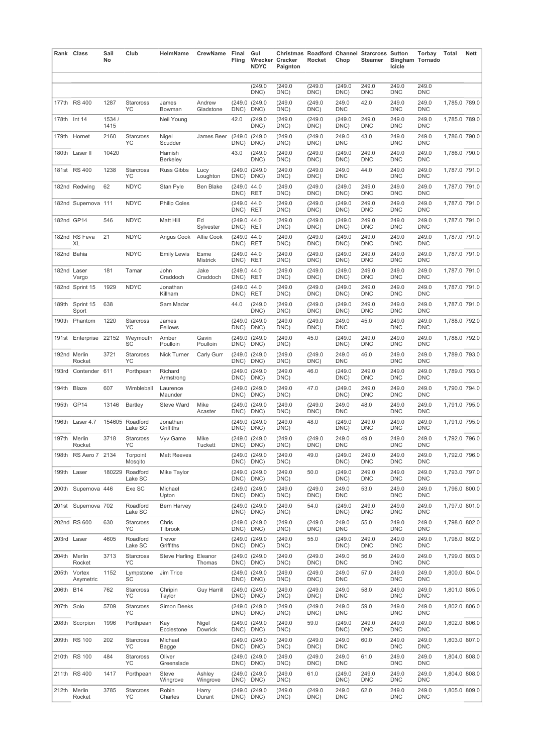|            | Rank Class                | Sail<br>No     | Club                       | HelmName              | CrewName Final            | Fling                   | Gul<br><b>NDYC</b>    | Wrecker Cracker<br>Paignton | Rocket          | Chop                | Christmas Roadford Channel Starcross Sutton<br>Steamer | Icicle              | Torbay<br><b>Bingham Tornado</b> | Total         | Nett |
|------------|---------------------------|----------------|----------------------------|-----------------------|---------------------------|-------------------------|-----------------------|-----------------------------|-----------------|---------------------|--------------------------------------------------------|---------------------|----------------------------------|---------------|------|
|            |                           |                |                            |                       |                           |                         | (249.0)<br>DNC)       | (249.0)<br>DNC)             | (249.0)<br>DNC) | (249.0)<br>DNC)     | 249.0<br><b>DNC</b>                                    | 249.0<br><b>DNC</b> | 249.0<br><b>DNC</b>              |               |      |
|            | 177th RS 400              | 1287           | Starcross<br>YC            | James<br>Bowman       | Andrew<br>Gladstone       | DNC)                    | (249.0 (249.0<br>DNC) | (249.0)<br>DNC)             | (249.0)<br>DNC) | 249.0<br><b>DNC</b> | 42.0                                                   | 249.0<br><b>DNC</b> | 249.0<br><b>DNC</b>              | 1,785.0 789.0 |      |
|            | 178th Int 14              | 1534 /<br>1415 |                            | Neil Young            |                           | 42.0                    | (249.0)<br>DNC)       | (249.0)<br>DNC)             | (249.0)<br>DNC) | (249.0<br>DNC)      | 249.0<br><b>DNC</b>                                    | 249.0<br><b>DNC</b> | 249.0<br><b>DNC</b>              | 1,785.0 789.0 |      |
|            | 179th Hornet              | 2160           | Starcross<br><b>YC</b>     | Nigel<br>Scudder      | James Beer (249.0 (249.0) | DNC)                    | DNC)                  | (249.0)<br>DNC)             | (249.0)<br>DNC) | 249.0<br><b>DNC</b> | 43.0                                                   | 249.0<br><b>DNC</b> | 249.0<br><b>DNC</b>              | 1,786.0 790.0 |      |
|            | 180th Laser II            | 10420          |                            | Hamish<br>Berkeley    |                           | 43.0                    | (249.0<br>DNC)        | (249.0)<br>DNC)             | (249.0)<br>DNC) | (249.0<br>DNC)      | 249.0<br><b>DNC</b>                                    | 249.0<br><b>DNC</b> | 249.0<br><b>DNC</b>              | 1,786.0 790.0 |      |
|            | 181st RS 400              | 1238           | <b>Starcross</b><br>YC     | Russ Gibbs            | Lucy<br>Loughton          | DNC) DNC)               | (249.0 (249.0         | (249.0)<br>DNC)             | (249.0)<br>DNC) | 249.0<br><b>DNC</b> | 44.0                                                   | 249.0<br><b>DNC</b> | 249.0<br><b>DNC</b>              | 1,787.0 791.0 |      |
|            | 182nd Redwing             | 62             | <b>NDYC</b>                | Stan Pyle             | <b>Ben Blake</b>          | (249.0 44.0<br>DNC) RET |                       | (249.0)<br>DNC)             | (249.0)<br>DNC) | (249.0<br>DNC)      | 249.0<br><b>DNC</b>                                    | 249.0<br><b>DNC</b> | 249.0<br><b>DNC</b>              | 1,787.0 791.0 |      |
|            | 182nd Supernova 111       |                | <b>NDYC</b>                | <b>Philip Coles</b>   |                           | (249.0 44.0<br>DNC) RET |                       | (249.0)<br>DNC)             | (249.0)<br>DNC) | (249.0<br>DNC)      | 249.0<br><b>DNC</b>                                    | 249.0<br><b>DNC</b> | 249.0<br><b>DNC</b>              | 1,787.0 791.0 |      |
|            | 182nd GP14                | 546            | <b>NDYC</b>                | Matt Hill             | Ed<br>Sylvester           | (249.0 44.0<br>DNC) RET |                       | (249.0)<br>DNC)             | (249.0)<br>DNC) | (249.0<br>DNC)      | 249.0<br><b>DNC</b>                                    | 249.0<br><b>DNC</b> | 249.0<br><b>DNC</b>              | 1,787.0 791.0 |      |
|            | 182nd RS Feva<br>XL       | 21             | <b>NDYC</b>                | Angus Cook Alfie Cook |                           | (249.0 44.0<br>DNC) RET |                       | (249.0)<br>DNC)             | (249.0<br>DNC)  | (249.0<br>DNC)      | 249.0<br><b>DNC</b>                                    | 249.0<br><b>DNC</b> | 249.0<br><b>DNC</b>              | 1,787.0 791.0 |      |
|            | 182nd Bahia               |                | <b>NDYC</b>                | <b>Emily Lewis</b>    | Esme<br>Mistrick          | (249.0 44.0<br>DNC) RET |                       | (249.0)<br>DNC)             | (249.0)<br>DNC) | (249.0<br>DNC)      | 249.0<br><b>DNC</b>                                    | 249.0<br><b>DNC</b> | 249.0<br><b>DNC</b>              | 1,787.0 791.0 |      |
|            | 182nd Laser<br>Vargo      | 181            | Tamar                      | John<br>Craddoch      | Jake<br>Craddoch          | (249.0 44.0<br>DNC) RET |                       | (249.0)<br>DNC)             | (249.0)<br>DNC) | (249.0<br>DNC)      | 249.0<br><b>DNC</b>                                    | 249.0<br><b>DNC</b> | 249.0<br><b>DNC</b>              | 1,787.0 791.0 |      |
|            | 182nd Sprint 15           | 1929           | <b>NDYC</b>                | Jonathan<br>Killham   |                           | (249.0 44.0<br>DNC)     | <b>RET</b>            | (249.0)<br>DNC)             | (249.0)<br>DNC) | (249.0<br>DNC)      | 249.0<br><b>DNC</b>                                    | 249.0<br><b>DNC</b> | 249.0<br><b>DNC</b>              | 1.787.0 791.0 |      |
|            | 189th Sprint 15<br>Sport  | 638            |                            | Sam Madar             |                           | 44.0                    | (249.0)<br>DNC)       | (249.0)<br>DNC)             | (249.0)<br>DNC) | (249.0<br>DNC)      | 249.0<br><b>DNC</b>                                    | 249.0<br><b>DNC</b> | 249.0<br><b>DNC</b>              | 1.787.0 791.0 |      |
|            | 190th Phantom             | 1220           | Starcross<br><b>YC</b>     | James<br>Fellows      |                           | DNC)                    | (249.0 (249.0<br>DNC) | (249.0<br>DNC)              | (249.0)<br>DNC) | 249.0<br><b>DNC</b> | 45.0                                                   | 249.0<br><b>DNC</b> | 249.0<br><b>DNC</b>              | 1,788.0 792.0 |      |
|            | 191st Enterprise 22152    |                | Weymouth<br><b>SC</b>      | Amber<br>Poulloin     | Gavin<br>Poulloin         | DNC) DNC)               | (249.0 (249.0         | (249.0)<br>DNC)             | 45.0            | (249.0)<br>DNC)     | 249.0<br><b>DNC</b>                                    | 249.0<br><b>DNC</b> | 249.0<br><b>DNC</b>              | 1,788.0 792.0 |      |
|            | 192nd Merlin<br>Rocket    | 3721           | Starcross<br>YC            | Nick Turner           | Carly Gurr                | DNC)                    | (249.0 (249.0<br>DNC) | (249.0<br>DNC)              | (249.0)<br>DNC) | 249.0<br><b>DNC</b> | 46.0                                                   | 249.0<br><b>DNC</b> | 249.0<br><b>DNC</b>              | 1,789.0 793.0 |      |
|            | 193rd Contender 611       |                | Porthpean                  | Richard<br>Armstrong  |                           | DNC) DNC)               | (249.0 (249.0         | (249.0)<br>DNC)             | 46.0            | (249.0)<br>DNC)     | 249.0<br><b>DNC</b>                                    | 249.0<br><b>DNC</b> | 249.0<br><b>DNC</b>              | 1,789.0 793.0 |      |
|            | 194th Blaze               | 607            | Wimbleball                 | Laurence<br>Maunder   |                           | DNC) DNC)               | (249.0 (249.0         | (249.0<br>DNC)              | 47.0            | (249.0)<br>DNC)     | 249.0<br><b>DNC</b>                                    | 249.0<br><b>DNC</b> | 249.0<br><b>DNC</b>              | 1,790.0 794.0 |      |
|            | 195th GP14                | 13146          | Bartley                    | Steve Ward            | Mike<br>Acaster           | DNC) DNC)               | (249.0 (249.0         | (249.0)<br>DNC)             | (249.0)<br>DNC) | 249.0<br><b>DNC</b> | 48.0                                                   | 249.0<br><b>DNC</b> | 249.0<br><b>DNC</b>              | 1,791.0 795.0 |      |
|            | 196th Laser 4.7           |                | 154605 Roadford<br>Lake SC | Jonathan<br>Griffiths |                           | DNC) DNC)               | (249.0 (249.0         | (249.0)<br>DNC)             | 48.0            | (249.0)<br>DNC)     | 249.0<br><b>DNC</b>                                    | 249.0<br><b>DNC</b> | 249.0<br><b>DNC</b>              | 1.791.0 795.0 |      |
|            | 197th Merlin<br>Rocket    | 3718           | Starcross<br>YC            | Vyv Game              | Mike<br><b>Tuckett</b>    | DNC) DNC)               | (249.0 (249.0         | (249.0)<br>DNC)             | (249.0)<br>DNC) | 249.0<br><b>DNC</b> | 49.0                                                   | 249.0<br><b>DNC</b> | 249.0<br><b>DNC</b>              | 1,792.0 796.0 |      |
|            | 198th RS Aero 7 2134      |                | Torpoint<br>Mosqito        | <b>Matt Reeves</b>    |                           | DNC) DNC)               | (249.0 (249.0         | (249.0)<br>DNC)             | 49.0            | (249.0)<br>DNC)     | 249.0<br><b>DNC</b>                                    | 249.0<br><b>DNC</b> | 249.0<br><b>DNC</b>              | 1,792.0 796.0 |      |
|            | 199th Laser               |                | 180229 Roadford<br>Lake SC | Mike Taylor           |                           | DNC) DNC)               | (249.0 (249.0         | (249.0)<br>DNC)             | 50.0            | (249.0)<br>DNC)     | 249.0<br><b>DNC</b>                                    | 249.0<br><b>DNC</b> | 249.0<br><b>DNC</b>              | 1,793.0 797.0 |      |
|            | 200th Supernova 446       |                | Exe SC                     | Michael<br>Upton      |                           | DNC) DNC)               | (249.0 (249.0         | (249.0)<br>DNC)             | (249.0)<br>DNC) | 249.0<br><b>DNC</b> | 53.0                                                   | 249.0<br><b>DNC</b> | 249.0<br><b>DNC</b>              | 1,796.0 800.0 |      |
|            | 201st Supernova 702       |                | Roadford<br>Lake SC        | Bern Harvey           |                           | DNC) DNC)               | (249.0 (249.0         | (249.0)<br>DNC)             | 54.0            | (249.0)<br>DNC)     | 249.0<br><b>DNC</b>                                    | 249.0<br><b>DNC</b> | 249.0<br><b>DNC</b>              | 1,797.0 801.0 |      |
|            | 202nd RS 600              | 630            | Starcross<br>YC            | Chris<br>Tilbrook     |                           | DNC) DNC)               | (249.0 (249.0         | (249.0<br>DNC)              | (249.0)<br>DNC) | 249.0<br><b>DNC</b> | 55.0                                                   | 249.0<br><b>DNC</b> | 249.0<br><b>DNC</b>              | 1,798.0 802.0 |      |
|            | 203rd Laser               | 4605           | Roadford<br>Lake SC        | Trevor<br>Griffiths   |                           | DNC) DNC)               | (249.0 (249.0         | (249.0)<br>DNC)             | 55.0            | (249.0)<br>DNC)     | 249.0<br><b>DNC</b>                                    | 249.0<br><b>DNC</b> | 249.0<br><b>DNC</b>              | 1,798.0 802.0 |      |
|            | 204th Merlin<br>Rocket    | 3713           | Starcross<br>YC            | Steve Harling Eleanor | Thomas                    | DNC) DNC)               | (249.0 (249.0         | (249.0)<br>DNC)             | (249.0)<br>DNC) | 249.0<br><b>DNC</b> | 56.0                                                   | 249.0<br><b>DNC</b> | 249.0<br><b>DNC</b>              | 1,799.0 803.0 |      |
|            | 205th Vortex<br>Asymetric | 1152           | Lympstone<br>SC            | Jim Trice             |                           | DNC) DNC)               | (249.0 (249.0         | (249.0)<br>DNC)             | (249.0)<br>DNC) | 249.0<br><b>DNC</b> | 57.0                                                   | 249.0<br><b>DNC</b> | 249.0<br><b>DNC</b>              | 1,800.0 804.0 |      |
| 206th B14  |                           | 762            | Starcross<br>YC            | Chripin<br>Taylor     | <b>Guy Harrill</b>        | DNC) DNC)               | (249.0 (249.0         | (249.0)<br>DNC)             | (249.0)<br>DNC) | 249.0<br><b>DNC</b> | 58.0                                                   | 249.0<br><b>DNC</b> | 249.0<br><b>DNC</b>              | 1,801.0 805.0 |      |
| 207th Solo |                           | 5709           | Starcross<br>YC            | Simon Deeks           |                           | DNC) DNC)               | (249.0 (249.0         | (249.0)<br>DNC)             | (249.0)<br>DNC) | 249.0<br><b>DNC</b> | 59.0                                                   | 249.0<br><b>DNC</b> | 249.0<br><b>DNC</b>              | 1,802.0 806.0 |      |
|            | 208th Scorpion            | 1996           | Porthpean                  | Kay<br>Ecclestone     | Nigel<br>Dowrick          | DNC) DNC)               | (249.0 (249.0         | (249.0)<br>DNC)             | 59.0            | (249.0)<br>DNC)     | 249.0<br><b>DNC</b>                                    | 249.0<br><b>DNC</b> | 249.0<br><b>DNC</b>              | 1,802.0 806.0 |      |
|            | 209th RS 100              | 202            | Starcross<br>YC            | Michael<br>Bagge      |                           | DNC) DNC)               | (249.0 (249.0         | (249.0<br>DNC)              | (249.0)<br>DNC) | 249.0<br><b>DNC</b> | 60.0                                                   | 249.0<br><b>DNC</b> | 249.0<br><b>DNC</b>              | 1,803.0 807.0 |      |
|            | 210th RS 100              | 484            | Starcross<br>YC            | Oliver<br>Greenslade  |                           | DNC) DNC)               | (249.0 (249.0         | (249.0<br>DNC)              | (249.0)<br>DNC) | 249.0<br><b>DNC</b> | 61.0                                                   | 249.0<br><b>DNC</b> | 249.0<br><b>DNC</b>              | 1,804.0 808.0 |      |
|            | 211th RS 400              | 1417           | Porthpean                  | Steve<br>Wingrove     | Ashley<br>Wingrove        | DNC) DNC)               | (249.0 (249.0         | (249.0)<br>DNC)             | 61.0            | (249.0)<br>DNC)     | 249.0<br><b>DNC</b>                                    | 249.0<br><b>DNC</b> | 249.0<br><b>DNC</b>              | 1,804.0 808.0 |      |
|            | 212th Merlin<br>Rocket    | 3785           | Starcross<br>YC            | Robin<br>Charles      | Harry<br>Durant           | DNC) DNC)               | (249.0 (249.0         | (249.0)<br>DNC)             | (249.0)<br>DNC) | 249.0<br><b>DNC</b> | 62.0                                                   | 249.0<br><b>DNC</b> | 249.0<br><b>DNC</b>              | 1,805.0 809.0 |      |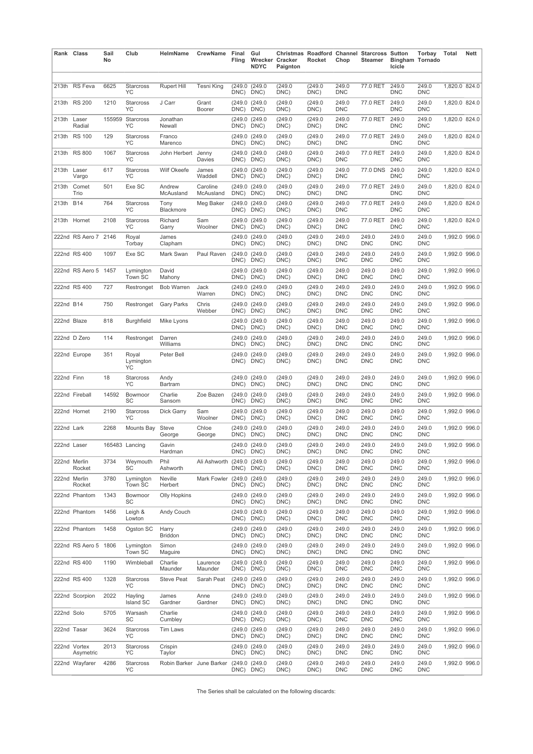|             | Rank Class                | Sail<br>No | Club                        | HelmName                 | CrewName                   | Final<br>Fling        | Gul<br><b>NDYC</b>    | Wrecker Cracker<br>Paignton | Rocket          | Chop                | <b>Christmas Roadford Channel Starcross Sutton</b><br>Steamer | <b>Bingham Tornado</b><br>Icicle | Torbay              | Total         | <b>Nett</b> |
|-------------|---------------------------|------------|-----------------------------|--------------------------|----------------------------|-----------------------|-----------------------|-----------------------------|-----------------|---------------------|---------------------------------------------------------------|----------------------------------|---------------------|---------------|-------------|
|             | 213th RS Feva             | 6625       | Starcross<br>YC             | <b>Rupert Hill</b>       | Tesni King                 | (249.0<br>DNC)        | (249.0)<br>DNC)       | (249.0<br>DNC)              | (249.0)<br>DNC) | 249.0<br><b>DNC</b> | 77.0 RET                                                      | 249.0<br><b>DNC</b>              | 249.0<br><b>DNC</b> | 1,820.0 824.0 |             |
|             | 213th RS 200              | 1210       | Starcross<br>YC             | J Carr                   | Grant<br>Boorer            | (249.0<br>DNC)        | (249.0<br>DNC)        | (249.0)<br>DNC)             | (249.0)<br>DNC) | 249.0<br><b>DNC</b> | 77.0 RET                                                      | 249.0<br><b>DNC</b>              | 249.0<br>DNC        | 1,820.0 824.0 |             |
| 213th Laser | Radial                    | 155959     | Starcross<br>YC             | Jonathan<br>Newall       |                            | (249.0<br>DNC)        | (249.0<br>DNC)        | (249.0<br>DNC)              | (249.0<br>DNC)  | 249.0<br><b>DNC</b> | 77.0 RET                                                      | 249.0<br><b>DNC</b>              | 249.0<br><b>DNC</b> | 1,820.0 824.0 |             |
|             | 213th RS 100              | 129        | Starcross<br>YC             | Franco<br>Marenco        |                            | (249.0<br>DNC)        | (249.0<br>DNC)        | (249.0)<br>DNC)             | (249.0<br>DNC)  | 249.0<br><b>DNC</b> | 77.0 RET                                                      | 249.0<br><b>DNC</b>              | 249.0<br><b>DNC</b> | 1,820.0 824.0 |             |
|             | 213th RS 800              | 1067       | Starcross<br>YC             | John Herbert             | Jenny<br>Davies            | (249.0<br>DNC)        | (249.0<br>DNC)        | (249.0)<br>DNC)             | (249.0)<br>DNC) | 249.0<br><b>DNC</b> | 77.0 RET                                                      | 249.0<br><b>DNC</b>              | 249.0<br><b>DNC</b> | 1,820.0 824.0 |             |
| 213th       | Laser<br>Vargo            | 617        | Starcross<br>YC             | <b>Wilf Okeefe</b>       | James<br>Waddell           | (249.0<br>DNC)        | (249.0<br>DNC)        | (249.0)<br>DNC)             | (249.0<br>DNC)  | 249.0<br><b>DNC</b> | 77.0 DNS                                                      | 249.0<br><b>DNC</b>              | 249.0<br>DNC        | 1,820.0 824.0 |             |
| 213th       | Comet<br>Trio             | 501        | Exe SC                      | Andrew<br>McAusland      | Caroline<br>McAusland      | DNC)                  | (249.0 (249.0<br>DNC) | (249.0)<br>DNC)             | (249.0<br>DNC)  | 249.0<br><b>DNC</b> | 77.0 RET                                                      | 249.0<br><b>DNC</b>              | 249.0<br><b>DNC</b> | 1,820.0 824.0 |             |
| 213th B14   |                           | 764        | Starcross<br>YC             | Tony<br>Blackmore        | Meg Baker                  | DNC)                  | (249.0 (249.0<br>DNC) | (249.0)<br>DNC)             | (249.0<br>DNC)  | 249.0<br><b>DNC</b> | 77.0 RET                                                      | 249.0<br><b>DNC</b>              | 249.0<br><b>DNC</b> | 1,820.0 824.0 |             |
| 213th       | Hornet                    | 2108       | Starcross<br>YC             | Richard<br>Garry         | Sam<br>Woolner             | (249.0<br>DNC)        | (249.0<br>DNC)        | (249.0)<br>DNC)             | (249.0)<br>DNC) | 249.0<br><b>DNC</b> | 77.0 RET                                                      | 249.0<br><b>DNC</b>              | 249.0<br><b>DNC</b> | 1,820.0 824.0 |             |
|             | 222nd RS Aero 7 2146      |            | Royal<br>Torbay             | James<br>Clapham         |                            | (249.0<br>DNC)        | (249.0<br>DNC)        | (249.0)<br>DNC)             | (249.0)<br>DNC) | 249.0<br><b>DNC</b> | 249.0<br><b>DNC</b>                                           | 249.0<br><b>DNC</b>              | 249.0<br>DNC        | 1,992.0 996.0 |             |
|             | 222nd RS 400              | 1097       | Exe SC                      | Mark Swan                | Paul Raven                 | (249.0<br>DNC)        | (249.0<br>DNC)        | (249.0)<br>DNC)             | (249.0<br>DNC)  | 249.0<br><b>DNC</b> | 249.0<br><b>DNC</b>                                           | 249.0<br><b>DNC</b>              | 249.0<br><b>DNC</b> | 1,992.0 996.0 |             |
|             | 222nd RS Aero 5 1457      |            | Lymington<br>Town SC        | David<br>Mahony          |                            | (249.0<br>DNC)        | (249.0<br>DNC)        | (249.0)<br>DNC)             | (249.0<br>DNC)  | 249.0<br><b>DNC</b> | 249.0<br><b>DNC</b>                                           | 249.0<br><b>DNC</b>              | 249.0<br>DNC        | 1,992.0 996.0 |             |
|             | 222nd RS 400              | 727        | Restronget                  | <b>Bob Warren</b>        | Jack<br>Warren             | (249.0<br>DNC)        | (249.0<br>DNC)        | (249.0)<br>DNC)             | (249.0<br>DNC)  | 249.0<br><b>DNC</b> | 249.0<br><b>DNC</b>                                           | 249.0<br><b>DNC</b>              | 249.0<br><b>DNC</b> | 1,992.0 996.0 |             |
| 222nd B14   |                           | 750        | Restronget                  | <b>Gary Parks</b>        | Chris<br>Webber            | (249.0<br>DNC)        | (249.0<br>DNC)        | (249.0)<br>DNC)             | (249.0)<br>DNC) | 249.0<br>DNC        | 249.0<br><b>DNC</b>                                           | 249.0<br><b>DNC</b>              | 249.0<br>DNC        | 1,992.0 996.0 |             |
| 222nd Blaze |                           | 818        | <b>Burghfield</b>           | Mike Lyons               |                            | (249.0<br>DNC)        | (249.0<br>DNC)        | (249.0)<br>DNC)             | (249.0<br>DNC)  | 249.0<br><b>DNC</b> | 249.0<br><b>DNC</b>                                           | 249.0<br><b>DNC</b>              | 249.0<br><b>DNC</b> | 1,992.0 996.0 |             |
|             | 222nd D Zero              | 114        | Restronget                  | Darren<br>Williams       |                            | DNC)                  | (249.0 (249.0<br>DNC) | (249.0)<br>DNC)             | (249.0<br>DNC)  | 249.0<br><b>DNC</b> | 249.0<br><b>DNC</b>                                           | 249.0<br><b>DNC</b>              | 249.0<br><b>DNC</b> | 1,992.0 996.0 |             |
|             | 222nd Europe              | 351        | Royal<br>Lymington<br>YC    | Peter Bell               |                            | DNC)                  | (249.0 (249.0<br>DNC) | (249.0)<br>DNC)             | (249.0)<br>DNC) | 249.0<br><b>DNC</b> | 249.0<br><b>DNC</b>                                           | 249.0<br><b>DNC</b>              | 249.0<br><b>DNC</b> | 1,992.0 996.0 |             |
| 222nd Finn  |                           | 18         | Starcross<br>YC             | Andy<br>Bartram          |                            | DNC)                  | (249.0 (249.0<br>DNC) | (249.0)<br>DNC)             | (249.0)<br>DNC) | 249.0<br><b>DNC</b> | 249.0<br><b>DNC</b>                                           | 249.0<br><b>DNC</b>              | 249.0<br><b>DNC</b> | 1,992.0 996.0 |             |
|             | 222nd Fireball            | 14592      | Bowmoor<br>SC               | Charlie<br>Sansom        | Zoe Bazen                  | (249.0)<br>DNC)       | (249.0<br>DNC)        | (249.0)<br>DNC)             | (249.0<br>DNC)  | 249.0<br><b>DNC</b> | 249.0<br><b>DNC</b>                                           | 249.0<br><b>DNC</b>              | 249.0<br><b>DNC</b> | 1,992.0 996.0 |             |
|             | 222nd Hornet              | 2190       | Starcross<br>YC             | Dick Garry               | Sam<br>Woolner             | (249.0<br>DNC)        | (249.0<br>DNC)        | (249.0)<br>DNC)             | (249.0<br>DNC)  | 249.0<br><b>DNC</b> | 249.0<br><b>DNC</b>                                           | 249.0<br><b>DNC</b>              | 249.0<br><b>DNC</b> | 1,992.0 996.0 |             |
| 222nd Lark  |                           | 2268       | Mounts Bay                  | Steve<br>George          | Chloe<br>George            | (249.0<br>DNC)        | (249.0<br>DNC)        | (249.0)<br>DNC)             | (249.0<br>DNC)  | 249.0<br><b>DNC</b> | 249.0<br><b>DNC</b>                                           | 249.0<br><b>DNC</b>              | 249.0<br><b>DNC</b> | 1,992.0 996.0 |             |
| 222nd Laser |                           |            | 165483 Lancing              | Gavin<br>Hardman         |                            | DNC) DNC)             | (249.0 (249.0         | (249.0)<br>DNC)             | (249.0<br>DNC)  | 249.0<br><b>DNC</b> | 249.0<br><b>DNC</b>                                           | 249.0<br><b>DNC</b>              | 249.0<br>DNC        | 1,992.0 996.0 |             |
|             | 222nd Merlin<br>Rocket    | 3734       | Weymouth<br><b>SC</b>       | Phil<br>Ashworth         | Ali Ashworth (249.0 (249.0 | DNC) DNC)             |                       | (249.0)<br>DNC)             | (249.0)<br>DNC) | 249.0<br><b>DNC</b> | 249.0<br><b>DNC</b>                                           | 249.0<br><b>DNC</b>              | 249.0<br><b>DNC</b> | 1,992.0 996.0 |             |
|             | 222nd Merlin<br>Rocket    | 3780       | Lymington<br>Town SC        | Neville<br>Herbert       | Mark Fowler                | (249.0 (249.0<br>DNC) | DNC)                  | (249.0)<br>DNC)             | (249.0<br>DNC)  | 249.0<br><b>DNC</b> | 249.0<br><b>DNC</b>                                           | 249.0<br><b>DNC</b>              | 249.0<br><b>DNC</b> | 1,992.0 996.0 |             |
|             | 222nd Phantom             | 1343       | Bowmoor<br>SC               | <b>Olly Hopkins</b>      |                            | DNC) DNC)             | (249.0 (249.0         | (249.0)<br>DNC)             | (249.0)<br>DNC) | 249.0<br>DNC        | 249.0<br><b>DNC</b>                                           | 249.0<br><b>DNC</b>              | 249.0<br>DNC        | 1,992.0 996.0 |             |
|             | 222nd Phantom             | 1456       | Leigh &<br>Lowton           | Andy Couch               |                            | DNC) DNC)             | (249.0 (249.0         | (249.0<br>DNC)              | (249.0<br>DNC)  | 249.0<br><b>DNC</b> | 249.0<br><b>DNC</b>                                           | 249.0<br><b>DNC</b>              | 249.0<br><b>DNC</b> | 1,992.0 996.0 |             |
|             | 222nd Phantom             | 1458       | Ogston SC                   | Harry<br>Briddon         |                            | DNC) DNC)             | (249.0 (249.0         | (249.0)<br>DNC)             | (249.0)<br>DNC) | 249.0<br>DNC        | 249.0<br><b>DNC</b>                                           | 249.0<br><b>DNC</b>              | 249.0<br>DNC        | 1,992.0 996.0 |             |
|             | 222nd RS Aero 5 1806      |            | Lymington<br>Town SC        | Simon<br>Maguire         |                            | DNC) DNC)             | (249.0 (249.0         | (249.0)<br>DNC)             | (249.0)<br>DNC) | 249.0<br><b>DNC</b> | 249.0<br><b>DNC</b>                                           | 249.0<br><b>DNC</b>              | 249.0<br><b>DNC</b> | 1,992.0 996.0 |             |
|             | 222nd RS 400              | 1190       | Wimbleball                  | Charlie<br>Maunder       | Laurence<br>Maunder        | DNC) DNC)             | (249.0 (249.0         | (249.0)<br>DNC)             | (249.0)<br>DNC) | 249.0<br>DNC        | 249.0<br><b>DNC</b>                                           | 249.0<br><b>DNC</b>              | 249.0<br>DNC        | 1,992.0 996.0 |             |
|             | 222nd RS 400              | 1328       | Starcross<br>YC             | <b>Steve Peat</b>        | Sarah Peat                 | DNC) DNC)             | (249.0 (249.0         | (249.0)<br>DNC)             | (249.0)<br>DNC) | 249.0<br><b>DNC</b> | 249.0<br><b>DNC</b>                                           | 249.0<br><b>DNC</b>              | 249.0<br><b>DNC</b> | 1,992.0 996.0 |             |
|             | 222nd Scorpion            | 2022       | Hayling<br><b>Island SC</b> | James<br>Gardner         | Anne<br>Gardner            | DNC) DNC)             | (249.0 (249.0         | (249.0)<br>DNC)             | (249.0)<br>DNC) | 249.0<br><b>DNC</b> | 249.0<br><b>DNC</b>                                           | 249.0<br><b>DNC</b>              | 249.0<br>DNC        | 1,992.0 996.0 |             |
| 222nd Solo  |                           | 5705       | Warsash<br>SC               | Charlie<br>Cumbley       |                            | DNC) DNC)             | (249.0 (249.0         | (249.0<br>DNC)              | (249.0<br>DNC)  | 249.0<br><b>DNC</b> | 249.0<br><b>DNC</b>                                           | 249.0<br><b>DNC</b>              | 249.0<br><b>DNC</b> | 1,992.0 996.0 |             |
|             | 222nd Tasar               | 3624       | Starcross<br>YC             | Tim Laws                 |                            | DNC) DNC)             | (249.0 (249.0         | (249.0)<br>DNC)             | (249.0)<br>DNC) | 249.0<br>DNC        | 249.0<br><b>DNC</b>                                           | 249.0<br><b>DNC</b>              | 249.0<br>DNC        | 1,992.0 996.0 |             |
|             | 222nd Vortex<br>Asymetric | 2013       | Starcross<br>YC             | Crispin<br>Taylor        |                            | DNC)                  | (249.0 (249.0<br>DNC) | (249.0<br>DNC)              | (249.0)<br>DNC) | 249.0<br><b>DNC</b> | 249.0<br><b>DNC</b>                                           | 249.0<br><b>DNC</b>              | 249.0<br><b>DNC</b> | 1,992.0 996.0 |             |
|             | 222nd Wayfarer            | 4286       | Starcross<br>YC             | Robin Barker June Barker |                            | DNC) DNC)             | (249.0 (249.0         | (249.0)<br>DNC)             | (249.0)<br>DNC) | 249.0<br>DNC        | 249.0<br><b>DNC</b>                                           | 249.0<br><b>DNC</b>              | 249.0<br>DNC        | 1,992.0 996.0 |             |

The Series shall be calculated on the following discards: